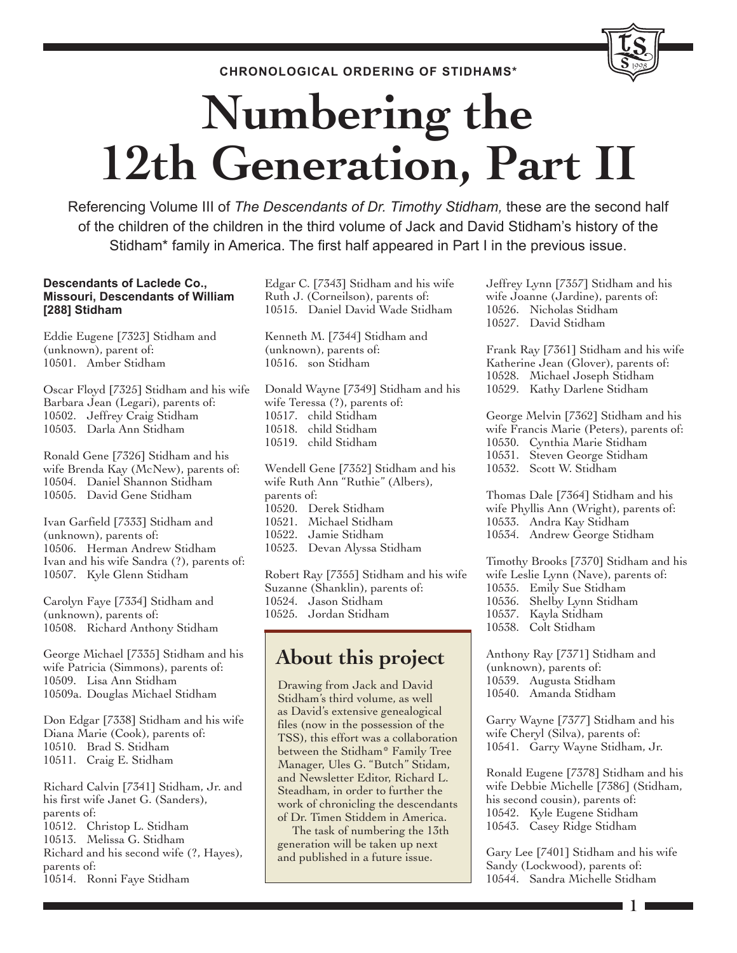**CHRONOLOGICAL ORDERING OF STIDHAMS\***

# **Numbering the 12th Generation, Part II**

Referencing Volume III of *The Descendants of Dr. Timothy Stidham,* these are the second half of the children of the children in the third volume of Jack and David Stidham's history of the Stidham\* family in America. The first half appeared in Part I in the previous issue.

#### **Descendants of Laclede Co., Missouri, Descendants of William [288] Stidham**

Eddie Eugene [7323] Stidham and (unknown), parent of: 10501. Amber Stidham

Oscar Floyd [7325] Stidham and his wife Barbara Jean (Legari), parents of: 10502. Jeffrey Craig Stidham 10503. Darla Ann Stidham

Ronald Gene [7326] Stidham and his wife Brenda Kay (McNew), parents of: 10504. Daniel Shannon Stidham 10505. David Gene Stidham

Ivan Garfield [7333] Stidham and (unknown), parents of: 10506. Herman Andrew Stidham Ivan and his wife Sandra (?), parents of: 10507. Kyle Glenn Stidham

Carolyn Faye [7334] Stidham and (unknown), parents of: 10508. Richard Anthony Stidham

George Michael [7335] Stidham and his wife Patricia (Simmons), parents of: 10509. Lisa Ann Stidham 10509a. Douglas Michael Stidham

Don Edgar [7338] Stidham and his wife Diana Marie (Cook), parents of: 10510. Brad S. Stidham 10511. Craig E. Stidham

Richard Calvin [7341] Stidham, Jr. and his first wife Janet G. (Sanders), parents of: 10512. Christop L. Stidham 10513. Melissa G. Stidham Richard and his second wife (?, Hayes), parents of: 10514. Ronni Faye Stidham

Edgar C. [7343] Stidham and his wife Ruth J. (Corneilson), parents of: 10515. Daniel David Wade Stidham

Kenneth M. [7344] Stidham and (unknown), parents of: 10516. son Stidham

Donald Wayne [7349] Stidham and his wife Teressa (?), parents of: 10517. child Stidham 10518. child Stidham 10519. child Stidham

Wendell Gene [7352] Stidham and his wife Ruth Ann "Ruthie" (Albers), parents of: 10520. Derek Stidham 10521. Michael Stidham 10522. Jamie Stidham 10523. Devan Alyssa Stidham

Robert Ray [7355] Stidham and his wife Suzanne (Shanklin), parents of: 10524. Jason Stidham 10525. Jordan Stidham

# **About this project**

Drawing from Jack and David Stidham's third volume, as well as David's extensive genealogical files (now in the possession of the TSS), this effort was a collaboration between the Stidham\* Family Tree Manager, Ules G. "Butch" Stidam, and Newsletter Editor, Richard L. Steadham, in order to further the work of chronicling the descendants of Dr. Timen Stiddem in America.

The task of numbering the 13th generation will be taken up next and published in a future issue.

Jeffrey Lynn [7357] Stidham and his wife Joanne (Jardine), parents of: 10526. Nicholas Stidham 10527. David Stidham

1998

Frank Ray [7361] Stidham and his wife Katherine Jean (Glover), parents of: 10528. Michael Joseph Stidham 10529. Kathy Darlene Stidham

George Melvin [7362] Stidham and his wife Francis Marie (Peters), parents of: 10530. Cynthia Marie Stidham 10531. Steven George Stidham 10532. Scott W. Stidham

Thomas Dale [7364] Stidham and his wife Phyllis Ann (Wright), parents of: 10533. Andra Kay Stidham 10534. Andrew George Stidham

Timothy Brooks [7370] Stidham and his wife Leslie Lynn (Nave), parents of: 10535. Emily Sue Stidham 10536. Shelby Lynn Stidham 10537. Kayla Stidham 10538. Colt Stidham

Anthony Ray [7371] Stidham and (unknown), parents of: 10539. Augusta Stidham 10540. Amanda Stidham

Garry Wayne [7377] Stidham and his wife Cheryl (Silva), parents of: 10541. Garry Wayne Stidham, Jr.

Ronald Eugene [7378] Stidham and his wife Debbie Michelle [7386] (Stidham, his second cousin), parents of: 10542. Kyle Eugene Stidham 10543. Casey Ridge Stidham

Gary Lee [7401] Stidham and his wife Sandy (Lockwood), parents of: 10544. Sandra Michelle Stidham

**1**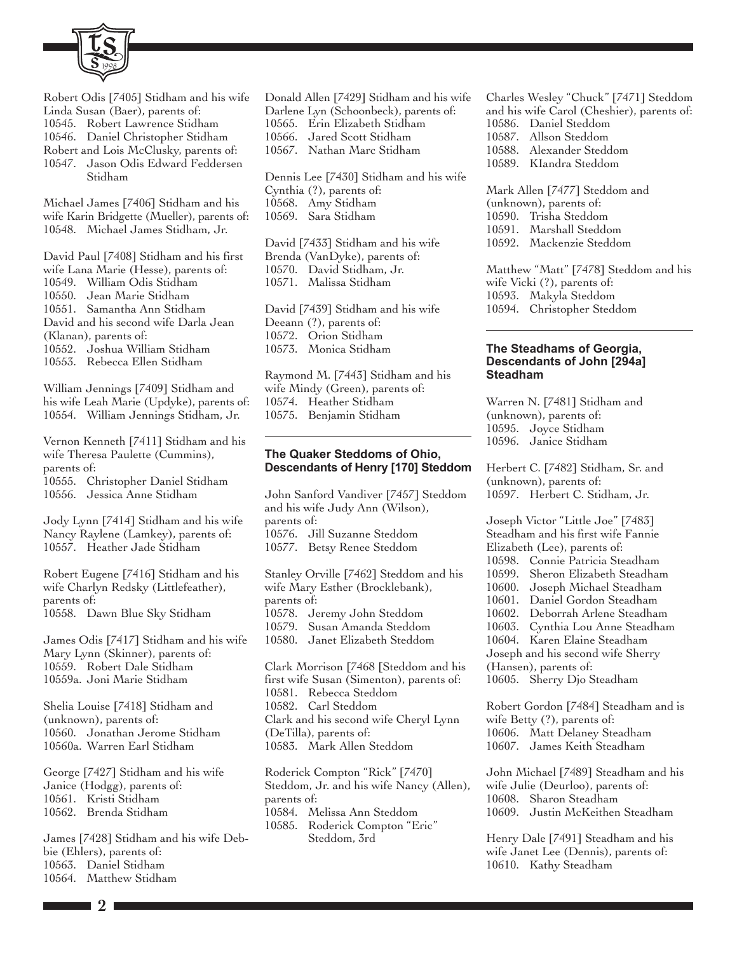

Robert Odis [7405] Stidham and his wife Linda Susan (Baer), parents of: 10545. Robert Lawrence Stidham 10546. Daniel Christopher Stidham Robert and Lois McClusky, parents of: 10547. Jason Odis Edward Feddersen Stidham

Michael James [7406] Stidham and his wife Karin Bridgette (Mueller), parents of: 10548. Michael James Stidham, Jr.

David Paul [7408] Stidham and his first wife Lana Marie (Hesse), parents of: 10549. William Odis Stidham 10550. Jean Marie Stidham 10551. Samantha Ann Stidham David and his second wife Darla Jean (Klanan), parents of: 10552. Joshua William Stidham 10553. Rebecca Ellen Stidham

William Jennings [7409] Stidham and his wife Leah Marie (Updyke), parents of: 10554. William Jennings Stidham, Jr.

Vernon Kenneth [7411] Stidham and his wife Theresa Paulette (Cummins), parents of: 10555. Christopher Daniel Stidham 10556. Jessica Anne Stidham

Jody Lynn [7414] Stidham and his wife Nancy Raylene (Lamkey), parents of: 10557. Heather Jade Stidham

Robert Eugene [7416] Stidham and his wife Charlyn Redsky (Littlefeather), parents of: 10558. Dawn Blue Sky Stidham

James Odis [7417] Stidham and his wife Mary Lynn (Skinner), parents of: 10559. Robert Dale Stidham 10559a. Joni Marie Stidham

Shelia Louise [7418] Stidham and (unknown), parents of: 10560. Jonathan Jerome Stidham 10560a. Warren Earl Stidham

George [7427] Stidham and his wife Janice (Hodgg), parents of: 10561. Kristi Stidham 10562. Brenda Stidham

James [7428] Stidham and his wife Debbie (Ehlers), parents of: 10563. Daniel Stidham 10564. Matthew Stidham

Donald Allen [7429] Stidham and his wife Darlene Lyn (Schoonbeck), parents of: 10565. Erin Elizabeth Stidham 10566. Jared Scott Stidham 10567. Nathan Marc Stidham

Dennis Lee [7430] Stidham and his wife Cynthia (?), parents of: 10568. Amy Stidham 10569. Sara Stidham

David [7433] Stidham and his wife Brenda (VanDyke), parents of: 10570. David Stidham, Jr. 10571. Malissa Stidham

David [7439] Stidham and his wife Deeann (?), parents of: 10572. Orion Stidham 10573. Monica Stidham

Raymond M. [7443] Stidham and his wife Mindy (Green), parents of: 10574. Heather Stidham 10575. Benjamin Stidham

#### **The Quaker Steddoms of Ohio, Descendants of Henry [170] Steddom**

John Sanford Vandiver [7457] Steddom and his wife Judy Ann (Wilson), parents of: 10576. Jill Suzanne Steddom 10577. Betsy Renee Steddom

Stanley Orville [7462] Steddom and his wife Mary Esther (Brocklebank), parents of: 10578. Jeremy John Steddom 10579. Susan Amanda Steddom 10580. Janet Elizabeth Steddom

Clark Morrison [7468 [Steddom and his first wife Susan (Simenton), parents of: 10581. Rebecca Steddom 10582. Carl Steddom Clark and his second wife Cheryl Lynn (DeTilla), parents of: 10583. Mark Allen Steddom

Roderick Compton "Rick" [7470] Steddom, Jr. and his wife Nancy (Allen), parents of: 10584. Melissa Ann Steddom 10585. Roderick Compton "Eric" Steddom, 3rd

Charles Wesley "Chuck" [7471] Steddom and his wife Carol (Cheshier), parents of: 10586. Daniel Steddom 10587. Allson Steddom 10588. Alexander Steddom 10589. KIandra Steddom

Mark Allen [7477] Steddom and (unknown), parents of: 10590. Trisha Steddom 10591. Marshall Steddom 10592. Mackenzie Steddom

Matthew "Matt" [7478] Steddom and his wife Vicki (?), parents of: 10593. Makyla Steddom 10594. Christopher Steddom

#### **The Steadhams of Georgia, Descendants of John [294a] Steadham**

Warren N. [7481] Stidham and (unknown), parents of: 10595. Joyce Stidham 10596. Janice Stidham

Herbert C. [7482] Stidham, Sr. and (unknown), parents of: 10597. Herbert C. Stidham, Jr.

Joseph Victor "Little Joe" [7483] Steadham and his first wife Fannie Elizabeth (Lee), parents of: 10598. Connie Patricia Steadham 10599. Sheron Elizabeth Steadham 10600. Joseph Michael Steadham 10601. Daniel Gordon Steadham 10602. Deborrah Arlene Steadham 10603. Cynthia Lou Anne Steadham 10604. Karen Elaine Steadham Joseph and his second wife Sherry (Hansen), parents of: 10605. Sherry Djo Steadham Robert Gordon [7484] Steadham and is wife Betty (?), parents of: 10606. Matt Delaney Steadham

John Michael [7489] Steadham and his wife Julie (Deurloo), parents of: 10608. Sharon Steadham 10609. Justin McKeithen Steadham

10607. James Keith Steadham

Henry Dale [7491] Steadham and his wife Janet Lee (Dennis), parents of: 10610. Kathy Steadham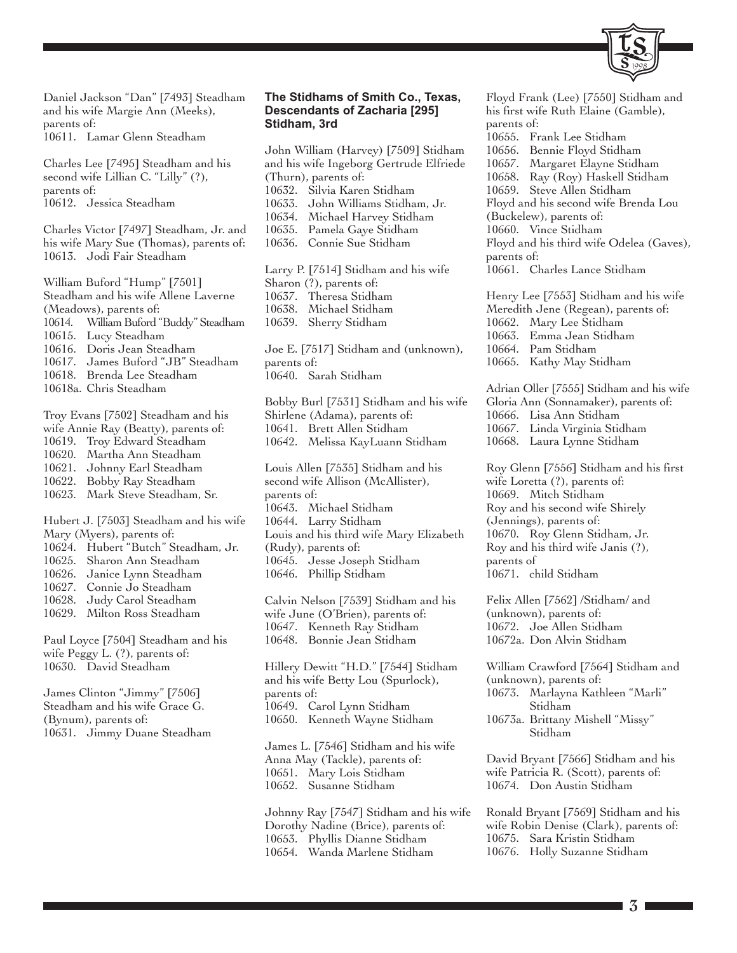

Daniel Jackson "Dan" [7493] Steadham and his wife Margie Ann (Meeks), parents of: 10611. Lamar Glenn Steadham

Charles Lee [7495] Steadham and his second wife Lillian C. "Lilly" (?), parents of: 10612. Jessica Steadham

Charles Victor [7497] Steadham, Jr. and his wife Mary Sue (Thomas), parents of: 10613. Jodi Fair Steadham

William Buford "Hump" [7501] Steadham and his wife Allene Laverne (Meadows), parents of: 10614. William Buford "Buddy" Steadham 10615. Lucy Steadham 10616. Doris Jean Steadham 10617. James Buford "JB" Steadham 10618. Brenda Lee Steadham 10618a. Chris Steadham

Troy Evans [7502] Steadham and his wife Annie Ray (Beatty), parents of: 10619. Troy Edward Steadham 10620. Martha Ann Steadham 10621. Johnny Earl Steadham 10622. Bobby Ray Steadham 10623. Mark Steve Steadham, Sr. Hubert J. [7503] Steadham and his wife Mary (Myers), parents of:

- 10624. Hubert "Butch" Steadham, Jr.
- 10625. Sharon Ann Steadham
- 10626. Janice Lynn Steadham
- 10627. Connie Jo Steadham
- 10628. Judy Carol Steadham 10629. Milton Ross Steadham

Paul Loyce [7504] Steadham and his wife Peggy L. (?), parents of: 10630. David Steadham

James Clinton "Jimmy" [7506] Steadham and his wife Grace G. (Bynum), parents of: 10631. Jimmy Duane Steadham

#### **The Stidhams of Smith Co., Texas, Descendants of Zacharia [295] Stidham, 3rd**

John William (Harvey) [7509] Stidham and his wife Ingeborg Gertrude Elfriede (Thurn), parents of: 10632. Silvia Karen Stidham 10633. John Williams Stidham, Jr. 10634. Michael Harvey Stidham 10635. Pamela Gaye Stidham 10636. Connie Sue Stidham Larry P. [7514] Stidham and his wife Sharon (?), parents of: 10637. Theresa Stidham 10638. Michael Stidham 10639. Sherry Stidham Joe E. [7517] Stidham and (unknown), parents of: 10640. Sarah Stidham Bobby Burl [7531] Stidham and his wife Shirlene (Adama), parents of: 10641. Brett Allen Stidham 10642. Melissa KayLuann Stidham Louis Allen [7535] Stidham and his second wife Allison (McAllister), parents of: 10643. Michael Stidham 10644. Larry Stidham Louis and his third wife Mary Elizabeth (Rudy), parents of: 10645. Jesse Joseph Stidham 10646. Phillip Stidham Calvin Nelson [7539] Stidham and his wife June (O'Brien), parents of: 10647. Kenneth Ray Stidham 10648. Bonnie Jean Stidham Hillery Dewitt "H.D." [7544] Stidham and his wife Betty Lou (Spurlock),

parents of: 10649. Carol Lynn Stidham 10650. Kenneth Wayne Stidham

James L. [7546] Stidham and his wife Anna May (Tackle), parents of: 10651. Mary Lois Stidham 10652. Susanne Stidham

Johnny Ray [7547] Stidham and his wife Dorothy Nadine (Brice), parents of: 10653. Phyllis Dianne Stidham 10654. Wanda Marlene Stidham

Floyd Frank (Lee) [7550] Stidham and his first wife Ruth Elaine (Gamble), parents of: 10655. Frank Lee Stidham 10656. Bennie Floyd Stidham 10657. Margaret Elayne Stidham 10658. Ray (Roy) Haskell Stidham 10659. Steve Allen Stidham Floyd and his second wife Brenda Lou (Buckelew), parents of: 10660. Vince Stidham Floyd and his third wife Odelea (Gaves), parents of: 10661. Charles Lance Stidham Henry Lee [7553] Stidham and his wife Meredith Jene (Regean), parents of: 10662. Mary Lee Stidham 10663. Emma Jean Stidham 10664. Pam Stidham 10665. Kathy May Stidham Adrian Oller [7555] Stidham and his wife Gloria Ann (Sonnamaker), parents of: 10666. Lisa Ann Stidham 10667. Linda Virginia Stidham 10668. Laura Lynne Stidham Roy Glenn [7556] Stidham and his first wife Loretta (?), parents of: 10669. Mitch Stidham Roy and his second wife Shirely (Jennings), parents of: 10670. Roy Glenn Stidham, Jr. Roy and his third wife Janis (?), parents of 10671. child Stidham

Felix Allen [7562] /Stidham/ and (unknown), parents of: 10672. Joe Allen Stidham 10672a. Don Alvin Stidham

William Crawford [7564] Stidham and (unknown), parents of: 10673. Marlayna Kathleen "Marli" Stidham

10673a. Brittany Mishell "Missy" Stidham

David Bryant [7566] Stidham and his wife Patricia R. (Scott), parents of: 10674. Don Austin Stidham

Ronald Bryant [7569] Stidham and his wife Robin Denise (Clark), parents of: 10675. Sara Kristin Stidham 10676. Holly Suzanne Stidham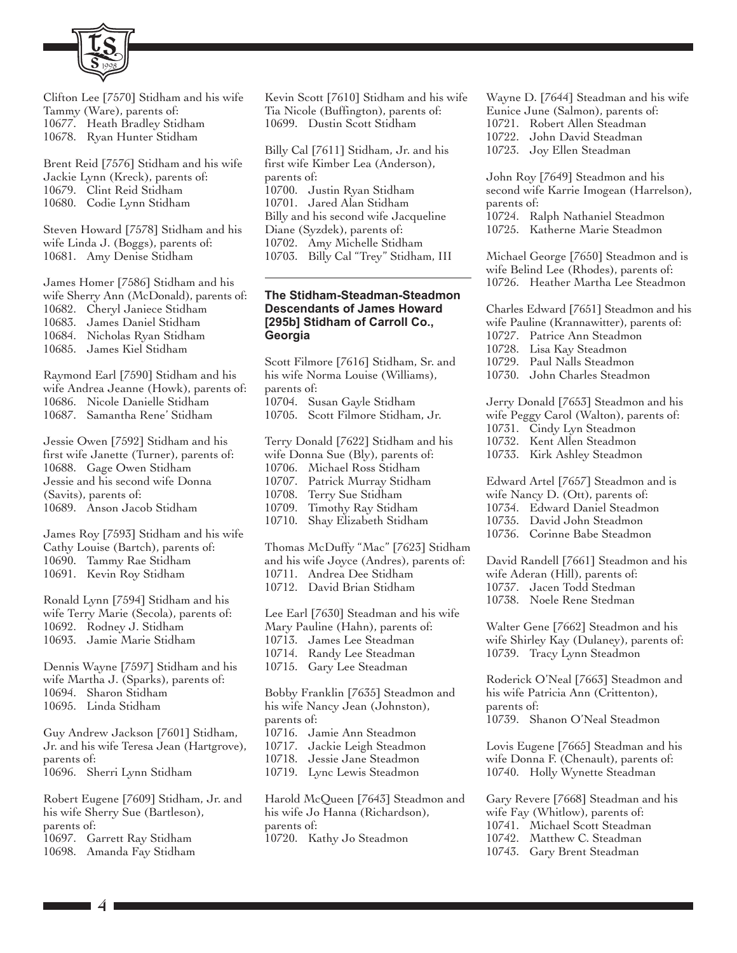

Clifton Lee [7570] Stidham and his wife Tammy (Ware), parents of: 10677. Heath Bradley Stidham 10678. Ryan Hunter Stidham

Brent Reid [7576] Stidham and his wife Jackie Lynn (Kreck), parents of: 10679. Clint Reid Stidham 10680. Codie Lynn Stidham

Steven Howard [7578] Stidham and his wife Linda J. (Boggs), parents of: 10681. Amy Denise Stidham

James Homer [7586] Stidham and his wife Sherry Ann (McDonald), parents of: 10682. Cheryl Janiece Stidham 10683. James Daniel Stidham 10684. Nicholas Ryan Stidham 10685. James Kiel Stidham

Raymond Earl [7590] Stidham and his wife Andrea Jeanne (Howk), parents of: 10686. Nicole Danielle Stidham 10687. Samantha Rene' Stidham

Jessie Owen [7592] Stidham and his first wife Janette (Turner), parents of: 10688. Gage Owen Stidham Jessie and his second wife Donna (Savits), parents of: 10689. Anson Jacob Stidham

James Roy [7593] Stidham and his wife Cathy Louise (Bartch), parents of: 10690. Tammy Rae Stidham 10691. Kevin Roy Stidham

Ronald Lynn [7594] Stidham and his wife Terry Marie (Secola), parents of: 10692. Rodney J. Stidham 10693. Jamie Marie Stidham

Dennis Wayne [7597] Stidham and his wife Martha J. (Sparks), parents of: 10694. Sharon Stidham 10695. Linda Stidham

Guy Andrew Jackson [7601] Stidham, Jr. and his wife Teresa Jean (Hartgrove), parents of: 10696. Sherri Lynn Stidham

Robert Eugene [7609] Stidham, Jr. and his wife Sherry Sue (Bartleson), parents of: 10697. Garrett Ray Stidham 10698. Amanda Fay Stidham

Kevin Scott [7610] Stidham and his wife Tia Nicole (Buffington), parents of: 10699. Dustin Scott Stidham

Billy Cal [7611] Stidham, Jr. and his first wife Kimber Lea (Anderson), parents of: 10700. Justin Ryan Stidham 10701. Jared Alan Stidham Billy and his second wife Jacqueline Diane (Syzdek), parents of: 10702. Amy Michelle Stidham 10703. Billy Cal "Trey" Stidham, III

#### **The Stidham-Steadman-Steadmon Descendants of James Howard [295b] Stidham of Carroll Co., Georgia**

Scott Filmore [7616] Stidham, Sr. and his wife Norma Louise (Williams), parents of: 10704. Susan Gayle Stidham 10705. Scott Filmore Stidham, Jr. Terry Donald [7622] Stidham and his

wife Donna Sue (Bly), parents of: 10706. Michael Ross Stidham 10707. Patrick Murray Stidham 10708. Terry Sue Stidham 10709. Timothy Ray Stidham 10710. Shay Elizabeth Stidham

Thomas McDuffy "Mac" [7623] Stidham and his wife Joyce (Andres), parents of: 10711. Andrea Dee Stidham 10712. David Brian Stidham

Lee Earl [7630] Steadman and his wife Mary Pauline (Hahn), parents of: 10713. James Lee Steadman 10714. Randy Lee Steadman 10715. Gary Lee Steadman Bobby Franklin [7635] Steadmon and

his wife Nancy Jean (Johnston), parents of:

10716. Jamie Ann Steadmon

10717. Jackie Leigh Steadmon

10718. Jessie Jane Steadmon

10719. Lync Lewis Steadmon

Harold McQueen [7643] Steadmon and his wife Jo Hanna (Richardson), parents of: 10720. Kathy Jo Steadmon

Wayne D. [7644] Steadman and his wife Eunice June (Salmon), parents of: 10721. Robert Allen Steadman 10722. John David Steadman 10723. Joy Ellen Steadman

John Roy [7649] Steadmon and his second wife Karrie Imogean (Harrelson), parents of: 10724. Ralph Nathaniel Steadmon 10725. Katherne Marie Steadmon

Michael George [7650] Steadmon and is wife Belind Lee (Rhodes), parents of: 10726. Heather Martha Lee Steadmon

Charles Edward [7651] Steadmon and his wife Pauline (Krannawitter), parents of: 10727. Patrice Ann Steadmon

10728. Lisa Kay Steadmon 10729. Paul Nalls Steadmon

10730. John Charles Steadmon

Jerry Donald [7653] Steadmon and his wife Peggy Carol (Walton), parents of: 10731. Cindy Lyn Steadmon 10732. Kent Allen Steadmon 10733. Kirk Ashley Steadmon

Edward Artel [7657] Steadmon and is wife Nancy D. (Ott), parents of: 10734. Edward Daniel Steadmon 10735. David John Steadmon 10736. Corinne Babe Steadmon

David Randell [7661] Steadmon and his wife Aderan (Hill), parents of: 10737. Jacen Todd Stedman 10738. Noele Rene Stedman

Walter Gene [7662] Steadmon and his wife Shirley Kay (Dulaney), parents of: 10739. Tracy Lynn Steadmon

Roderick O'Neal [7663] Steadmon and his wife Patricia Ann (Crittenton), parents of: 10739. Shanon O'Neal Steadmon

Lovis Eugene [7665] Steadman and his wife Donna F. (Chenault), parents of: 10740. Holly Wynette Steadman

Gary Revere [7668] Steadman and his wife Fay (Whitlow), parents of: 10741. Michael Scott Steadman 10742. Matthew C. Steadman 10743. Gary Brent Steadman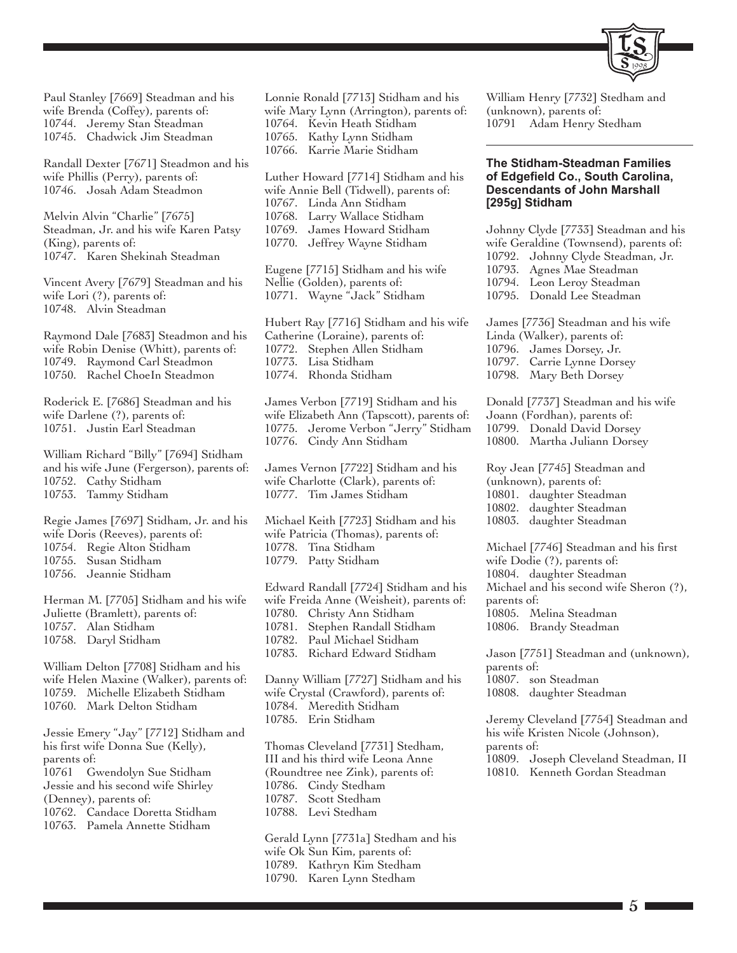

Paul Stanley [7669] Steadman and his wife Brenda (Coffey), parents of: 10744. Jeremy Stan Steadman 10745. Chadwick Jim Steadman

Randall Dexter [7671] Steadmon and his wife Phillis (Perry), parents of: 10746. Josah Adam Steadmon

Melvin Alvin "Charlie" [7675] Steadman, Jr. and his wife Karen Patsy (King), parents of: 10747. Karen Shekinah Steadman

Vincent Avery [7679] Steadman and his wife Lori (?), parents of: 10748. Alvin Steadman

Raymond Dale [7683] Steadmon and his wife Robin Denise (Whitt), parents of: 10749. Raymond Carl Steadmon 10750. Rachel ChoeIn Steadmon

Roderick E. [7686] Steadman and his wife Darlene (?), parents of: 10751. Justin Earl Steadman

William Richard "Billy" [7694] Stidham and his wife June (Fergerson), parents of: 10752. Cathy Stidham 10753. Tammy Stidham

Regie James [7697] Stidham, Jr. and his wife Doris (Reeves), parents of: 10754. Regie Alton Stidham 10755. Susan Stidham 10756. Jeannie Stidham

Herman M. [7705] Stidham and his wife Juliette (Bramlett), parents of: 10757. Alan Stidham 10758. Daryl Stidham

William Delton [7708] Stidham and his wife Helen Maxine (Walker), parents of: 10759. Michelle Elizabeth Stidham 10760. Mark Delton Stidham

Jessie Emery "Jay" [7712] Stidham and his first wife Donna Sue (Kelly), parents of: 10761 Gwendolyn Sue Stidham Jessie and his second wife Shirley (Denney), parents of: 10762. Candace Doretta Stidham 10763. Pamela Annette Stidham

Lonnie Ronald [7713] Stidham and his wife Mary Lynn (Arrington), parents of: 10764. Kevin Heath Stidham 10765. Kathy Lynn Stidham 10766. Karrie Marie Stidham

Luther Howard [7714] Stidham and his wife Annie Bell (Tidwell), parents of: 10767. Linda Ann Stidham 10768. Larry Wallace Stidham 10769. James Howard Stidham 10770. Jeffrey Wayne Stidham

Eugene [7715] Stidham and his wife Nellie (Golden), parents of: 10771. Wayne "Jack" Stidham

Hubert Ray [7716] Stidham and his wife Catherine (Loraine), parents of: 10772. Stephen Allen Stidham Lisa Stidham 10774. Rhonda Stidham

James Verbon [7719] Stidham and his wife Elizabeth Ann (Tapscott), parents of: 10775. Jerome Verbon "Jerry" Stidham 10776. Cindy Ann Stidham

James Vernon [7722] Stidham and his wife Charlotte (Clark), parents of: 10777. Tim James Stidham

Michael Keith [7723] Stidham and his wife Patricia (Thomas), parents of: 10778. Tina Stidham 10779. Patty Stidham

Edward Randall [7724] Stidham and his wife Freida Anne (Weisheit), parents of: 10780. Christy Ann Stidham 10781. Stephen Randall Stidham 10782. Paul Michael Stidham 10783. Richard Edward Stidham

Danny William [7727] Stidham and his wife Crystal (Crawford), parents of: 10784. Meredith Stidham 10785. Erin Stidham

Thomas Cleveland [7731] Stedham, III and his third wife Leona Anne (Roundtree nee Zink), parents of: 10786. Cindy Stedham 10787. Scott Stedham 10788. Levi Stedham

Gerald Lynn [7731a] Stedham and his wife Ok Sun Kim, parents of: 10789. Kathryn Kim Stedham 10790. Karen Lynn Stedham

William Henry [7732] Stedham and (unknown), parents of: 10791 Adam Henry Stedham

#### **The Stidham-Steadman Families of Edgefield Co., South Carolina, Descendants of John Marshall [295g] Stidham**

Johnny Clyde [7733] Steadman and his wife Geraldine (Townsend), parents of: 10792. Johnny Clyde Steadman, Jr. 10793. Agnes Mae Steadman 10794. Leon Leroy Steadman 10795. Donald Lee Steadman

James [7736] Steadman and his wife Linda (Walker), parents of: 10796. James Dorsey, Jr. 10797. Carrie Lynne Dorsey 10798. Mary Beth Dorsey

Donald [7737] Steadman and his wife Joann (Fordhan), parents of: 10799. Donald David Dorsey 10800. Martha Juliann Dorsey

Roy Jean [7745] Steadman and (unknown), parents of: 10801. daughter Steadman 10802. daughter Steadman 10803. daughter Steadman

Michael [7746] Steadman and his first wife Dodie (?), parents of: 10804. daughter Steadman Michael and his second wife Sheron (?), parents of: 10805. Melina Steadman 10806. Brandy Steadman

Jason [7751] Steadman and (unknown), parents of: 10807. son Steadman 10808. daughter Steadman

Jeremy Cleveland [7754] Steadman and his wife Kristen Nicole (Johnson), parents of: 10809. Joseph Cleveland Steadman, II 10810. Kenneth Gordan Steadman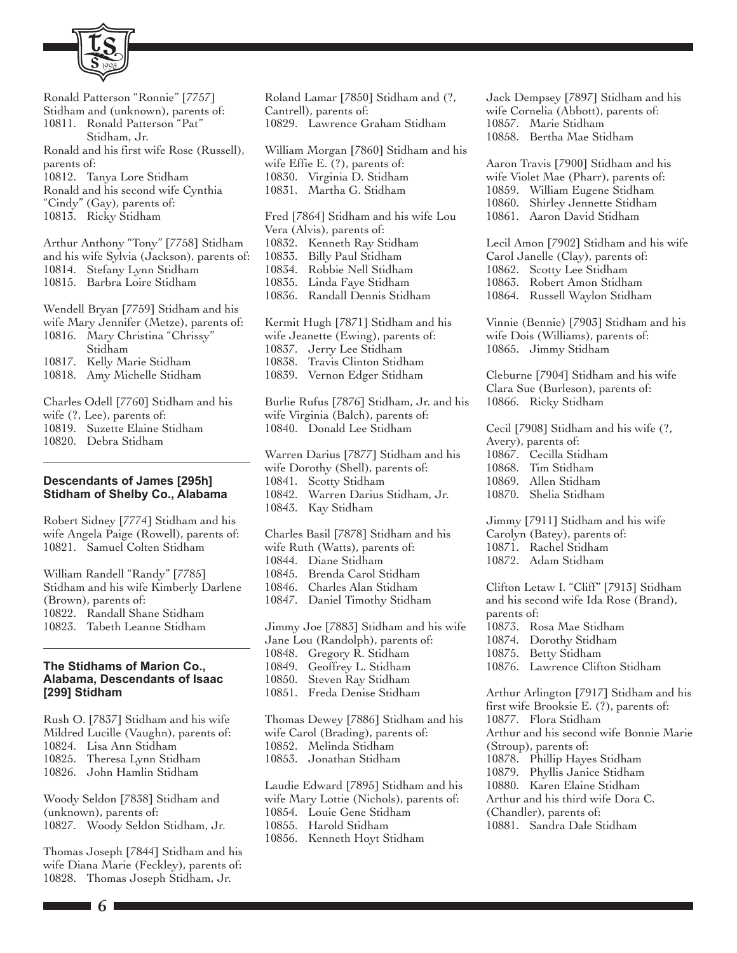

- Ronald Patterson "Ronnie" [7757] Stidham and (unknown), parents of: 10811. Ronald Patterson "Pat" Stidham, Jr. Ronald and his first wife Rose (Russell), parents of: 10812. Tanya Lore Stidham Ronald and his second wife Cynthia "Cindy" (Gay), parents of: 10813. Ricky Stidham Arthur Anthony "Tony" [7758] Stidham and his wife Sylvia (Jackson), parents of: 10814. Stefany Lynn Stidham 10815. Barbra Loire Stidham Wendell Bryan [7759] Stidham and his wife Mary Jennifer (Metze), parents of: 10816. Mary Christina "Chrissy" Stidham 10817. Kelly Marie Stidham 10818. Amy Michelle Stidham Charles Odell [7760] Stidham and his
- wife (?, Lee), parents of:
- 10819. Suzette Elaine Stidham 10820. Debra Stidham

### **Descendants of James [295h] Stidham of Shelby Co., Alabama**

Robert Sidney [7774] Stidham and his wife Angela Paige (Rowell), parents of: 10821. Samuel Colten Stidham

William Randell "Randy" [7785] Stidham and his wife Kimberly Darlene (Brown), parents of: 10822. Randall Shane Stidham 10823. Tabeth Leanne Stidham

#### **The Stidhams of Marion Co., Alabama, Descendants of Isaac [299] Stidham**

Rush O. [7837] Stidham and his wife Mildred Lucille (Vaughn), parents of: 10824. Lisa Ann Stidham 10825. Theresa Lynn Stidham 10826. John Hamlin Stidham

Woody Seldon [7838] Stidham and (unknown), parents of: 10827. Woody Seldon Stidham, Jr.

Thomas Joseph [7844] Stidham and his wife Diana Marie (Feckley), parents of: 10828. Thomas Joseph Stidham, Jr.

Roland Lamar [7850] Stidham and (?, Cantrell), parents of: 10829. Lawrence Graham Stidham William Morgan [7860] Stidham and his wife Effie E. (?), parents of: 10830. Virginia D. Stidham 10831. Martha G. Stidham Fred [7864] Stidham and his wife Lou Vera (Alvis), parents of: 10832. Kenneth Ray Stidham 10833. Billy Paul Stidham 10834. Robbie Nell Stidham 10835. Linda Faye Stidham 10836. Randall Dennis Stidham Kermit Hugh [7871] Stidham and his wife Jeanette (Ewing), parents of: 10837. Jerry Lee Stidham 10838. Travis Clinton Stidham 10839. Vernon Edger Stidham Burlie Rufus [7876] Stidham, Jr. and his wife Virginia (Balch), parents of: 10840. Donald Lee Stidham Warren Darius [7877] Stidham and his wife Dorothy (Shell), parents of: 10841. Scotty Stidham 10842. Warren Darius Stidham, Jr. 10843. Kay Stidham Charles Basil [7878] Stidham and his wife Ruth (Watts), parents of: 10844. Diane Stidham 10845. Brenda Carol Stidham 10846. Charles Alan Stidham 10847. Daniel Timothy Stidham Jimmy Joe [7883] Stidham and his wife Jane Lou (Randolph), parents of: 10848. Gregory R. Stidham 10849. Geoffrey L. Stidham 10850. Steven Ray Stidham 10851. Freda Denise Stidham Thomas Dewey [7886] Stidham and his wife Carol (Brading), parents of: 10852. Melinda Stidham 10853. Jonathan Stidham Laudie Edward [7895] Stidham and his wife Mary Lottie (Nichols), parents of: 10854. Louie Gene Stidham 10855. Harold Stidham 10856. Kenneth Hoyt Stidham

Jack Dempsey [7897] Stidham and his wife Cornelia (Abbott), parents of: 10857. Marie Stidham 10858. Bertha Mae Stidham

Aaron Travis [7900] Stidham and his wife Violet Mae (Pharr), parents of: 10859. William Eugene Stidham 10860. Shirley Jennette Stidham 10861. Aaron David Stidham

Lecil Amon [7902] Stidham and his wife Carol Janelle (Clay), parents of: 10862. Scotty Lee Stidham 10863. Robert Amon Stidham 10864. Russell Waylon Stidham

Vinnie (Bennie) [7903] Stidham and his wife Dois (Williams), parents of: 10865. Jimmy Stidham

Cleburne [7904] Stidham and his wife Clara Sue (Burleson), parents of: 10866. Ricky Stidham

Cecil [7908] Stidham and his wife (?, Avery), parents of: 10867. Cecilla Stidham 10868. Tim Stidham 10869. Allen Stidham 10870. Shelia Stidham

Jimmy [7911] Stidham and his wife Carolyn (Batey), parents of: 10871. Rachel Stidham 10872. Adam Stidham

Clifton Letaw I. "Cliff" [7913] Stidham and his second wife Ida Rose (Brand), parents of:

- 10873. Rosa Mae Stidham
- 10874. Dorothy Stidham
- 10875. Betty Stidham
- 10876. Lawrence Clifton Stidham

Arthur Arlington [7917] Stidham and his first wife Brooksie E. (?), parents of: 10877. Flora Stidham Arthur and his second wife Bonnie Marie (Stroup), parents of: 10878. Phillip Hayes Stidham 10879. Phyllis Janice Stidham 10880. Karen Elaine Stidham Arthur and his third wife Dora C. (Chandler), parents of:

10881. Sandra Dale Stidham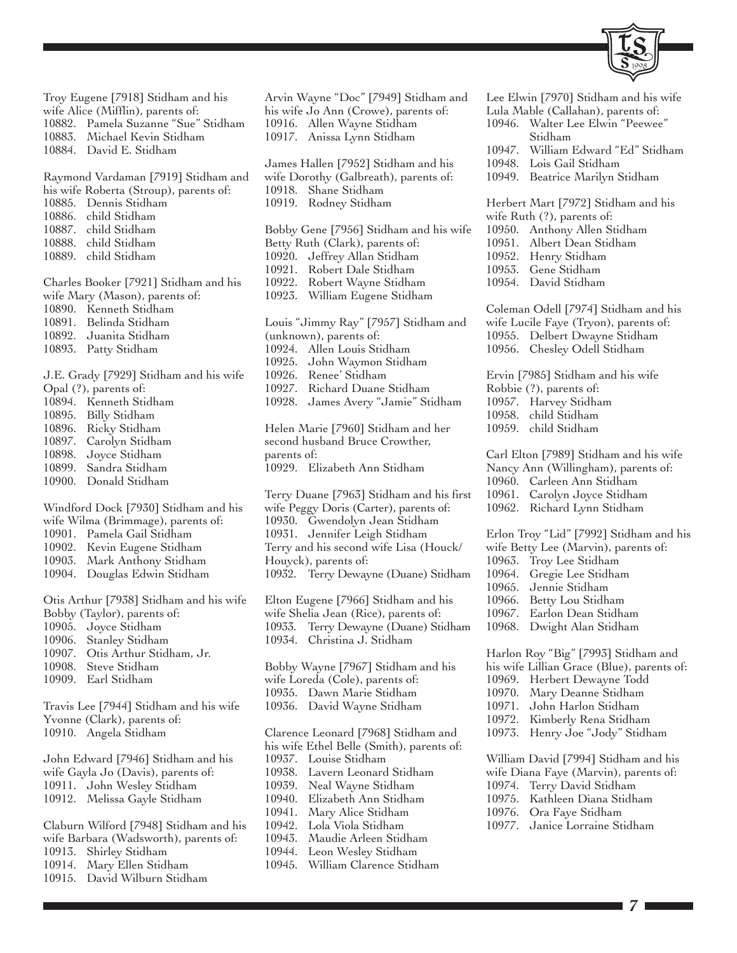

Troy Eugene [7918] Stidham and his wife Alice (Mifflin), parents of: 10882. Pamela Suzanne "Sue" Stidham 10883. Michael Kevin Stidham 10884. David E. Stidham

Raymond Vardaman [7919] Stidham and his wife Roberta (Stroup), parents of: 10885. Dennis Stidham 10886. child Stidham 10887. child Stidham 10888. child Stidham

10889. child Stidham

Charles Booker [7921] Stidham and his wife Mary (Mason), parents of: 10890. Kenneth Stidham 10891. Belinda Stidham 10892. Juanita Stidham 10893. Patty Stidham

J.E. Grady [7929] Stidham and his wife

- Opal (?), parents of:
- 10894. Kenneth Stidham
- 10895. Billy Stidham
- 10896. Ricky Stidham
- 10897. Carolyn Stidham
- 10898. Joyce Stidham
- 10899. Sandra Stidham
- 10900. Donald Stidham

Windford Dock [7930] Stidham and his wife Wilma (Brimmage), parents of:

- 10901. Pamela Gail Stidham
- 10902. Kevin Eugene Stidham
- 10903. Mark Anthony Stidham
- 10904. Douglas Edwin Stidham

Otis Arthur [7938] Stidham and his wife Bobby (Taylor), parents of:

- 10905. Joyce Stidham
- 10906. Stanley Stidham
- 10907. Otis Arthur Stidham, Jr.
- 10908. Steve Stidham
- 10909. Earl Stidham

Travis Lee [7944] Stidham and his wife Yvonne (Clark), parents of:

10910. Angela Stidham

John Edward [7946] Stidham and his wife Gayla Jo (Davis), parents of: 10911. John Wesley Stidham 10912. Melissa Gayle Stidham

Claburn Wilford [7948] Stidham and his wife Barbara (Wadsworth), parents of: 10913. Shirley Stidham 10914. Mary Ellen Stidham 10915. David Wilburn Stidham

10916. Allen Wayne Stidham 10917. Anissa Lynn Stidham James Hallen [7952] Stidham and his wife Dorothy (Galbreath), parents of: 10918. Shane Stidham 10919. Rodney Stidham Bobby Gene [7956] Stidham and his wife Betty Ruth (Clark), parents of: 10920. Jeffrey Allan Stidham 10921. Robert Dale Stidham 10922. Robert Wayne Stidham 10923. William Eugene Stidham Louis "Jimmy Ray" [7957] Stidham and (unknown), parents of: 10924. Allen Louis Stidham 10925. John Waymon Stidham 10926. Renee' Stidham 10927. Richard Duane Stidham 10928. James Avery "Jamie" Stidham Helen Marie [7960] Stidham and her second husband Bruce Crowther, parents of: 10929. Elizabeth Ann Stidham Terry Duane [7963] Stidham and his first wife Peggy Doris (Carter), parents of: 10930. Gwendolyn Jean Stidham 10931. Jennifer Leigh Stidham Terry and his second wife Lisa (Houck/ Houyck), parents of: 10932. Terry Dewayne (Duane) Stidham Elton Eugene [7966] Stidham and his wife Shelia Jean (Rice), parents of: 10933. Terry Dewayne (Duane) Stidham 10934. Christina J. Stidham Bobby Wayne [7967] Stidham and his wife Loreda (Cole), parents of: 10935. Dawn Marie Stidham 10936. David Wayne Stidham Clarence Leonard [7968] Stidham and his wife Ethel Belle (Smith), parents of: 10937. Louise Stidham 10938. Lavern Leonard Stidham 10939. Neal Wayne Stidham 10940. Elizabeth Ann Stidham 10941. Mary Alice Stidham 10942. Lola Viola Stidham 10943. Maudie Arleen Stidham 10944. Leon Wesley Stidham

Arvin Wayne "Doc" [7949] Stidham and his wife Jo Ann (Crowe), parents of:

10945. William Clarence Stidham

Lee Elwin [7970] Stidham and his wife Lula Mable (Callahan), parents of: 10946. Walter Lee Elwin "Peewee" Stidham 10947. William Edward "Ed" Stidham 10948. Lois Gail Stidham 10949. Beatrice Marilyn Stidham Herbert Mart [7972] Stidham and his wife Ruth (?), parents of: 10950. Anthony Allen Stidham 10951. Albert Dean Stidham 10952. Henry Stidham 10953. Gene Stidham 10954. David Stidham Coleman Odell [7974] Stidham and his wife Lucile Faye (Tryon), parents of: 10955. Delbert Dwayne Stidham 10956. Chesley Odell Stidham Ervin [7985] Stidham and his wife Robbie (?), parents of: 10957. Harvey Stidham 10958. child Stidham 10959. child Stidham Carl Elton [7989] Stidham and his wife Nancy Ann (Willingham), parents of: 10960. Carleen Ann Stidham 10961. Carolyn Joyce Stidham 10962. Richard Lynn Stidham Erlon Troy "Lid" [7992] Stidham and his wife Betty Lee (Marvin), parents of: 10963. Troy Lee Stidham 10964. Gregie Lee Stidham 10965. Jennie Stidham

- 10966. Betty Lou Stidham
- 10967. Earlon Dean Stidham
- 10968. Dwight Alan Stidham

Harlon Roy "Big" [7993] Stidham and his wife Lillian Grace (Blue), parents of: 10969. Herbert Dewayne Todd 10970. Mary Deanne Stidham 10971. John Harlon Stidham

- 10972. Kimberly Rena Stidham
- 10973. Henry Joe "Jody" Stidham

William David [7994] Stidham and his wife Diana Faye (Marvin), parents of: 10974. Terry David Stidham

- 10975. Kathleen Diana Stidham
- 10976. Ora Faye Stidham
- 10977. Janice Lorraine Stidham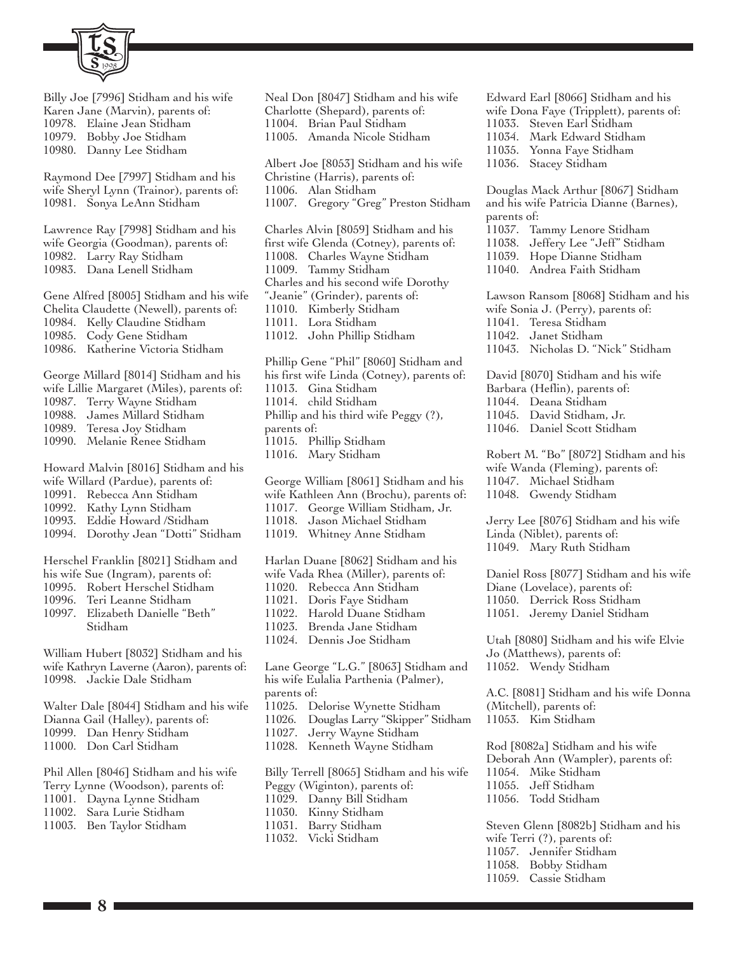

Billy Joe [7996] Stidham and his wife Karen Jane (Marvin), parents of: 10978. Elaine Jean Stidham 10979. Bobby Joe Stidham 10980. Danny Lee Stidham

Raymond Dee [7997] Stidham and his wife Sheryl Lynn (Trainor), parents of: 10981. Sonya LeAnn Stidham

Lawrence Ray [7998] Stidham and his wife Georgia (Goodman), parents of: 10982. Larry Ray Stidham 10983. Dana Lenell Stidham

Gene Alfred [8005] Stidham and his wife Chelita Claudette (Newell), parents of: 10984. Kelly Claudine Stidham 10985. Cody Gene Stidham 10986. Katherine Victoria Stidham

George Millard [8014] Stidham and his wife Lillie Margaret (Miles), parents of: 10987. Terry Wayne Stidham 10988. James Millard Stidham 10989. Teresa Joy Stidham 10990. Melanie Renee Stidham

Howard Malvin [8016] Stidham and his wife Willard (Pardue), parents of: 10991. Rebecca Ann Stidham 10992. Kathy Lynn Stidham

- 10993. Eddie Howard /Stidham
- 10994. Dorothy Jean "Dotti" Stidham

Herschel Franklin [8021] Stidham and his wife Sue (Ingram), parents of:

- 10995. Robert Herschel Stidham
- 10996. Teri Leanne Stidham
- 10997. Elizabeth Danielle "Beth" Stidham

William Hubert [8032] Stidham and his wife Kathryn Laverne (Aaron), parents of: 10998. Jackie Dale Stidham

Walter Dale [8044] Stidham and his wife Dianna Gail (Halley), parents of: 10999. Dan Henry Stidham 11000. Don Carl Stidham

Phil Allen [8046] Stidham and his wife Terry Lynne (Woodson), parents of: 11001. Dayna Lynne Stidham 11002. Sara Lurie Stidham 11003. Ben Taylor Stidham

Neal Don [8047] Stidham and his wife Charlotte (Shepard), parents of: 11004. Brian Paul Stidham 11005. Amanda Nicole Stidham Albert Joe [8053] Stidham and his wife Christine (Harris), parents of: 11006. Alan Stidham 11007. Gregory "Greg" Preston Stidham Charles Alvin [8059] Stidham and his first wife Glenda (Cotney), parents of: 11008. Charles Wayne Stidham 11009. Tammy Stidham Charles and his second wife Dorothy "Jeanie" (Grinder), parents of: 11010. Kimberly Stidham 11011. Lora Stidham 11012. John Phillip Stidham Phillip Gene "Phil" [8060] Stidham and his first wife Linda (Cotney), parents of: 11013. Gina Stidham 11014. child Stidham Phillip and his third wife Peggy (?), parents of: 11015. Phillip Stidham 11016. Mary Stidham George William [8061] Stidham and his wife Kathleen Ann (Brochu), parents of: 11017. George William Stidham, Jr. 11018. Jason Michael Stidham 11019. Whitney Anne Stidham Harlan Duane [8062] Stidham and his wife Vada Rhea (Miller), parents of: 11020. Rebecca Ann Stidham 11021. Doris Faye Stidham 11022. Harold Duane Stidham 11023. Brenda Jane Stidham 11024. Dennis Joe Stidham Lane George "L.G." [8063] Stidham and his wife Eulalia Parthenia (Palmer), parents of: 11025. Delorise Wynette Stidham 11026. Douglas Larry "Skipper" Stidham 11027. Jerry Wayne Stidham 11028. Kenneth Wayne Stidham Billy Terrell [8065] Stidham and his wife Peggy (Wiginton), parents of: 11029. Danny Bill Stidham 11030. Kinny Stidham 11031. Barry Stidham 11032. Vicki Stidham

Edward Earl [8066] Stidham and his wife Dona Faye (Tripplett), parents of: 11033. Steven Earl Stidham 11034. Mark Edward Stidham 11035. Yonna Faye Stidham 11036. Stacey Stidham Douglas Mack Arthur [8067] Stidham and his wife Patricia Dianne (Barnes), parents of: 11037. Tammy Lenore Stidham 11038. Jeffery Lee "Jeff" Stidham 11039. Hope Dianne Stidham 11040. Andrea Faith Stidham Lawson Ransom [8068] Stidham and his wife Sonia J. (Perry), parents of: 11041. Teresa Stidham 11042. Janet Stidham 11043. Nicholas D. "Nick" Stidham David [8070] Stidham and his wife Barbara (Heflin), parents of: 11044. Deana Stidham 11045. David Stidham, Jr. 11046. Daniel Scott Stidham Robert M. "Bo" [8072] Stidham and his wife Wanda (Fleming), parents of: 11047. Michael Stidham 11048. Gwendy Stidham Jerry Lee [8076] Stidham and his wife

Linda (Niblet), parents of: 11049. Mary Ruth Stidham

Daniel Ross [8077] Stidham and his wife Diane (Lovelace), parents of: 11050. Derrick Ross Stidham 11051. Jeremy Daniel Stidham

Utah [8080] Stidham and his wife Elvie Jo (Matthews), parents of: 11052. Wendy Stidham

A.C. [8081] Stidham and his wife Donna (Mitchell), parents of: 11053. Kim Stidham

Rod [8082a] Stidham and his wife Deborah Ann (Wampler), parents of: 11054. Mike Stidham 11055. Jeff Stidham 11056. Todd Stidham

Steven Glenn [8082b] Stidham and his wife Terri (?), parents of: 11057. Jennifer Stidham 11058. Bobby Stidham 11059. Cassie Stidham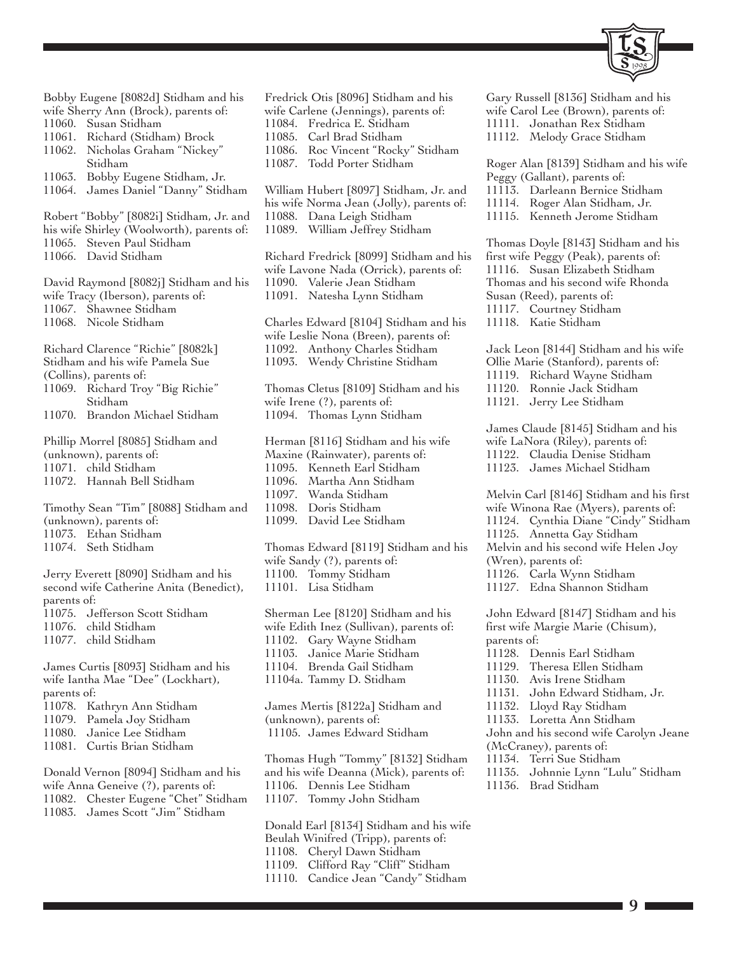

Bobby Eugene [8082d] Stidham and his wife Sherry Ann (Brock), parents of: 11060. Susan Stidham 11061. Richard (Stidham) Brock 11062. Nicholas Graham "Nickey" Stidham 11063. Bobby Eugene Stidham, Jr. 11064. James Daniel "Danny" Stidham Robert "Bobby" [8082i] Stidham, Jr. and his wife Shirley (Woolworth), parents of: 11065. Steven Paul Stidham 11066. David Stidham David Raymond [8082j] Stidham and his wife Tracy (Iberson), parents of: 11067. Shawnee Stidham 11068. Nicole Stidham Richard Clarence "Richie" [8082k] Stidham and his wife Pamela Sue (Collins), parents of: 11069. Richard Troy "Big Richie" Stidham 11070. Brandon Michael Stidham Phillip Morrel [8085] Stidham and (unknown), parents of: 11071. child Stidham 11072. Hannah Bell Stidham Timothy Sean "Tim" [8088] Stidham and (unknown), parents of: 11073. Ethan Stidham 11074. Seth Stidham Jerry Everett [8090] Stidham and his second wife Catherine Anita (Benedict), parents of: 11075. Jefferson Scott Stidham 11076. child Stidham 11077. child Stidham James Curtis [8093] Stidham and his wife Iantha Mae "Dee" (Lockhart), parents of: 11078. Kathryn Ann Stidham 11079. Pamela Joy Stidham 11080. Janice Lee Stidham 11081. Curtis Brian Stidham Donald Vernon [8094] Stidham and his

wife Anna Geneive (?), parents of: 11082. Chester Eugene "Chet" Stidham 11083. James Scott "Jim" Stidham

Fredrick Otis [8096] Stidham and his wife Carlene (Jennings), parents of: 11084. Fredrica E. Stidham 11085. Carl Brad Stidham 11086. Roc Vincent "Rocky" Stidham 11087. Todd Porter Stidham William Hubert [8097] Stidham, Jr. and his wife Norma Jean (Jolly), parents of: 11088. Dana Leigh Stidham 11089. William Jeffrey Stidham Richard Fredrick [8099] Stidham and his wife Lavone Nada (Orrick), parents of: 11090. Valerie Jean Stidham 11091. Natesha Lynn Stidham Charles Edward [8104] Stidham and his wife Leslie Nona (Breen), parents of: 11092. Anthony Charles Stidham 11093. Wendy Christine Stidham Thomas Cletus [8109] Stidham and his wife Irene (?), parents of: 11094. Thomas Lynn Stidham Herman [8116] Stidham and his wife Maxine (Rainwater), parents of: 11095. Kenneth Earl Stidham 11096. Martha Ann Stidham 11097. Wanda Stidham 11098. Doris Stidham 11099. David Lee Stidham Thomas Edward [8119] Stidham and his wife Sandy (?), parents of: 11100. Tommy Stidham 11101. Lisa Stidham Sherman Lee [8120] Stidham and his wife Edith Inez (Sullivan), parents of: 11102. Gary Wayne Stidham 11103. Janice Marie Stidham 11104. Brenda Gail Stidham 11104a. Tammy D. Stidham James Mertis [8122a] Stidham and (unknown), parents of: 11105. James Edward Stidham Thomas Hugh "Tommy" [8132] Stidham and his wife Deanna (Mick), parents of: 11106. Dennis Lee Stidham 11107. Tommy John Stidham

Donald Earl [8134] Stidham and his wife Beulah Winifred (Tripp), parents of: 11108. Cheryl Dawn Stidham 11109. Clifford Ray "Cliff" Stidham 11110. Candice Jean "Candy" Stidham

11111. Jonathan Rex Stidham 11112. Melody Grace Stidham Roger Alan [8139] Stidham and his wife Peggy (Gallant), parents of: 11113. Darleann Bernice Stidham 11114. Roger Alan Stidham, Jr. 11115. Kenneth Jerome Stidham Thomas Doyle [8143] Stidham and his first wife Peggy (Peak), parents of: 11116. Susan Elizabeth Stidham Thomas and his second wife Rhonda Susan (Reed), parents of: 11117. Courtney Stidham 11118. Katie Stidham Jack Leon [8144] Stidham and his wife Ollie Marie (Stanford), parents of: 11119. Richard Wayne Stidham

Gary Russell [8136] Stidham and his wife Carol Lee (Brown), parents of:

11120. Ronnie Jack Stidham 11121. Jerry Lee Stidham James Claude [8145] Stidham and his wife LaNora (Riley), parents of: 11122. Claudia Denise Stidham 11123. James Michael Stidham

Melvin Carl [8146] Stidham and his first wife Winona Rae (Myers), parents of: 11124. Cynthia Diane "Cindy" Stidham 11125. Annetta Gay Stidham Melvin and his second wife Helen Joy (Wren), parents of: 11126. Carla Wynn Stidham 11127. Edna Shannon Stidham John Edward [8147] Stidham and his

first wife Margie Marie (Chisum), parents of:

- 11128. Dennis Earl Stidham
- 11129. Theresa Ellen Stidham
- 11130. Avis Irene Stidham
- 11131. John Edward Stidham, Jr.
- 11132. Lloyd Ray Stidham
- 11133. Loretta Ann Stidham

John and his second wife Carolyn Jeane (McCraney), parents of:

- 11134. Terri Sue Stidham
- 11135. Johnnie Lynn "Lulu" Stidham
- 11136. Brad Stidham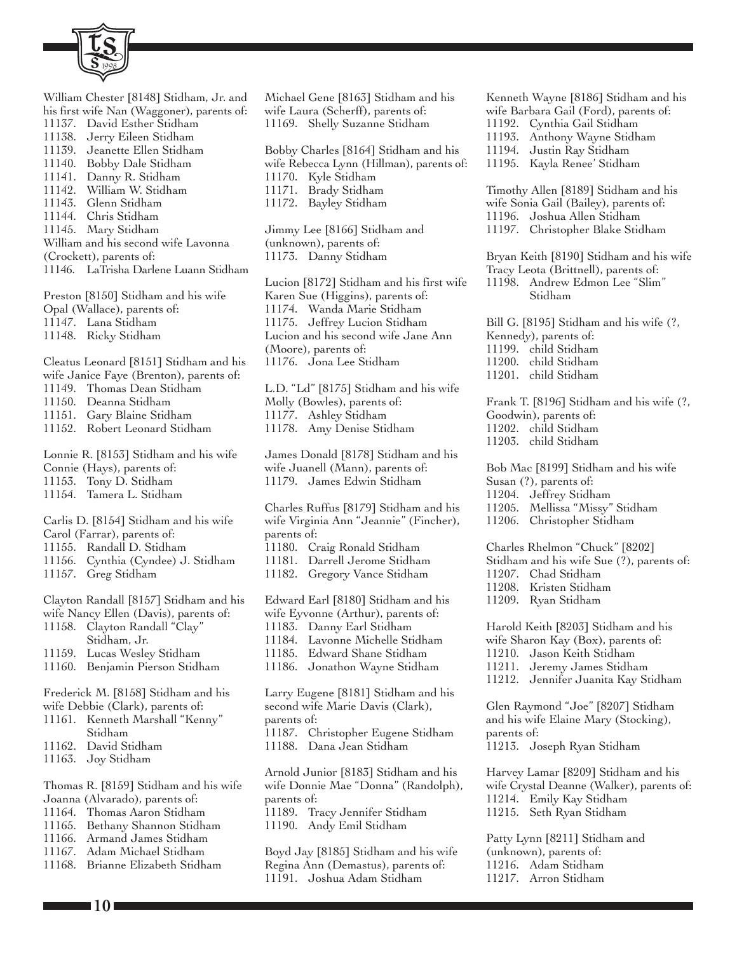

William Chester [8148] Stidham, Jr. and his first wife Nan (Waggoner), parents of: 11137. David Esther Stidham 11138. Jerry Eileen Stidham 11139. Jeanette Ellen Stidham 11140. Bobby Dale Stidham 11141. Danny R. Stidham 11142. William W. Stidham 11143. Glenn Stidham 11144. Chris Stidham 11145. Mary Stidham William and his second wife Lavonna (Crockett), parents of: 11146. LaTrisha Darlene Luann Stidham Preston [8150] Stidham and his wife

Opal (Wallace), parents of: 11147. Lana Stidham

11148. Ricky Stidham

Cleatus Leonard [8151] Stidham and his wife Janice Faye (Brenton), parents of: 11149. Thomas Dean Stidham 11150. Deanna Stidham

- 11151. Gary Blaine Stidham
- 11152. Robert Leonard Stidham

Lonnie R. [8153] Stidham and his wife

Connie (Hays), parents of:

11153. Tony D. Stidham

11154. Tamera L. Stidham

Carlis D. [8154] Stidham and his wife

- Carol (Farrar), parents of:
- 11155. Randall D. Stidham
- 11156. Cynthia (Cyndee) J. Stidham
- 11157. Greg Stidham

Clayton Randall [8157] Stidham and his wife Nancy Ellen (Davis), parents of: 11158. Clayton Randall "Clay" Stidham, Jr. 11159. Lucas Wesley Stidham 11160. Benjamin Pierson Stidham

Frederick M. [8158] Stidham and his wife Debbie (Clark), parents of:

- 11161. Kenneth Marshall "Kenny" Stidham
- 11162. David Stidham
- 11163. Joy Stidham

Thomas R. [8159] Stidham and his wife Joanna (Alvarado), parents of:

- 11164. Thomas Aaron Stidham
- 11165. Bethany Shannon Stidham
- 11166. Armand James Stidham
- 11167. Adam Michael Stidham
- 11168. Brianne Elizabeth Stidham

Michael Gene [8163] Stidham and his wife Laura (Scherff), parents of: 11169. Shelly Suzanne Stidham

Bobby Charles [8164] Stidham and his wife Rebecca Lynn (Hillman), parents of: 11170. Kyle Stidham 11171. Brady Stidham 11172. Bayley Stidham Jimmy Lee [8166] Stidham and (unknown), parents of: 11173. Danny Stidham

Lucion [8172] Stidham and his first wife Karen Sue (Higgins), parents of: 11174. Wanda Marie Stidham 11175. Jeffrey Lucion Stidham Lucion and his second wife Jane Ann (Moore), parents of: 11176. Jona Lee Stidham

L.D. "Ld" [8175] Stidham and his wife Molly (Bowles), parents of: 11177. Ashley Stidham 11178. Amy Denise Stidham

James Donald [8178] Stidham and his wife Juanell (Mann), parents of: 11179. James Edwin Stidham

Charles Ruffus [8179] Stidham and his wife Virginia Ann "Jeannie" (Fincher), parents of: 11180. Craig Ronald Stidham 11181. Darrell Jerome Stidham 11182. Gregory Vance Stidham

Edward Earl [8180] Stidham and his wife Eyvonne (Arthur), parents of: 11183. Danny Earl Stidham

- 11184. Lavonne Michelle Stidham
- 11185. Edward Shane Stidham
- 11186. Jonathon Wayne Stidham

Larry Eugene [8181] Stidham and his second wife Marie Davis (Clark), parents of: 11187. Christopher Eugene Stidham 11188. Dana Jean Stidham

Arnold Junior [8183] Stidham and his wife Donnie Mae "Donna" (Randolph), parents of:

11189. Tracy Jennifer Stidham

11190. Andy Emil Stidham

Boyd Jay [8185] Stidham and his wife Regina Ann (Demastus), parents of: 11191. Joshua Adam Stidham

Kenneth Wayne [8186] Stidham and his wife Barbara Gail (Ford), parents of: 11192. Cynthia Gail Stidham 11193. Anthony Wayne Stidham 11194. Justin Ray Stidham 11195. Kayla Renee' Stidham

Timothy Allen [8189] Stidham and his wife Sonia Gail (Bailey), parents of: 11196. Joshua Allen Stidham 11197. Christopher Blake Stidham

Bryan Keith [8190] Stidham and his wife Tracy Leota (Brittnell), parents of:

11198. Andrew Edmon Lee "Slim" Stidham

Bill G. [8195] Stidham and his wife (?, Kennedy), parents of: 11199. child Stidham 11200. child Stidham 11201. child Stidham

Frank T. [8196] Stidham and his wife (?, Goodwin), parents of: 11202. child Stidham 11203. child Stidham

Bob Mac [8199] Stidham and his wife Susan (?), parents of: 11204. Jeffrey Stidham 11205. Mellissa "Missy" Stidham

11206. Christopher Stidham

Charles Rhelmon "Chuck" [8202] Stidham and his wife Sue (?), parents of: 11207. Chad Stidham

- 11208. Kristen Stidham
- 11209. Ryan Stidham

Harold Keith [8203] Stidham and his wife Sharon Kay (Box), parents of:

- 11210. Jason Keith Stidham
- 11211. Jeremy James Stidham
- 11212. Jennifer Juanita Kay Stidham

Glen Raymond "Joe" [8207] Stidham and his wife Elaine Mary (Stocking), parents of: 11213. Joseph Ryan Stidham

Harvey Lamar [8209] Stidham and his wife Crystal Deanne (Walker), parents of: 11214. Emily Kay Stidham 11215. Seth Ryan Stidham

Patty Lynn [8211] Stidham and (unknown), parents of: 11216. Adam Stidham 11217. Arron Stidham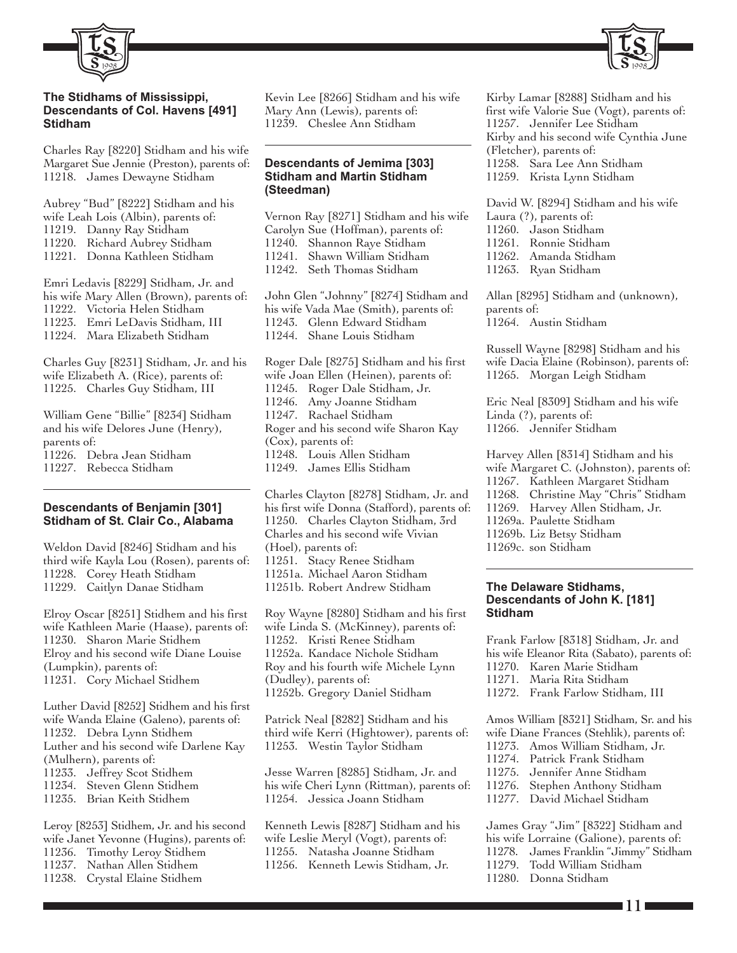

#### **The Stidhams of Mississippi, Descendants of Col. Havens [491] Stidham**

Charles Ray [8220] Stidham and his wife Margaret Sue Jennie (Preston), parents of: 11218. James Dewayne Stidham

Aubrey "Bud" [8222] Stidham and his wife Leah Lois (Albin), parents of: 11219. Danny Ray Stidham 11220. Richard Aubrey Stidham 11221. Donna Kathleen Stidham

Emri Ledavis [8229] Stidham, Jr. and his wife Mary Allen (Brown), parents of: 11222. Victoria Helen Stidham 11223. Emri LeDavis Stidham, III 11224. Mara Elizabeth Stidham

Charles Guy [8231] Stidham, Jr. and his wife Elizabeth A. (Rice), parents of: 11225. Charles Guy Stidham, III

William Gene "Billie" [8234] Stidham and his wife Delores June (Henry), parents of: 11226. Debra Jean Stidham 11227. Rebecca Stidham

#### **Descendants of Benjamin [301] Stidham of St. Clair Co., Alabama**

Weldon David [8246] Stidham and his third wife Kayla Lou (Rosen), parents of: 11228. Corey Heath Stidham 11229. Caitlyn Danae Stidham

Elroy Oscar [8251] Stidhem and his first wife Kathleen Marie (Haase), parents of: 11230. Sharon Marie Stidhem Elroy and his second wife Diane Louise (Lumpkin), parents of: 11231. Cory Michael Stidhem

Luther David [8252] Stidhem and his first wife Wanda Elaine (Galeno), parents of: 11232. Debra Lynn Stidhem Luther and his second wife Darlene Kay (Mulhern), parents of: 11233. Jeffrey Scot Stidhem 11234. Steven Glenn Stidhem 11235. Brian Keith Stidhem

Leroy [8253] Stidhem, Jr. and his second wife Janet Yevonne (Hugins), parents of: 11236. Timothy Leroy Stidhem 11237. Nathan Allen Stidhem 11238. Crystal Elaine Stidhem

Kevin Lee [8266] Stidham and his wife Mary Ann (Lewis), parents of: 11239. Cheslee Ann Stidham

#### **Descendants of Jemima [303] Stidham and Martin Stidham (Steedman)**

Vernon Ray [8271] Stidham and his wife Carolyn Sue (Hoffman), parents of: 11240. Shannon Raye Stidham 11241. Shawn William Stidham 11242. Seth Thomas Stidham

John Glen "Johnny" [8274] Stidham and his wife Vada Mae (Smith), parents of: 11243. Glenn Edward Stidham 11244. Shane Louis Stidham

Roger Dale [8275] Stidham and his first wife Joan Ellen (Heinen), parents of: 11245. Roger Dale Stidham, Jr. 11246. Amy Joanne Stidham 11247. Rachael Stidham Roger and his second wife Sharon Kay (Cox), parents of: 11248. Louis Allen Stidham 11249. James Ellis Stidham

Charles Clayton [8278] Stidham, Jr. and his first wife Donna (Stafford), parents of: 11250. Charles Clayton Stidham, 3rd Charles and his second wife Vivian (Hoel), parents of: 11251. Stacy Renee Stidham 11251a. Michael Aaron Stidham 11251b. Robert Andrew Stidham Roy Wayne [8280] Stidham and his first

wife Linda S. (McKinney), parents of: 11252. Kristi Renee Stidham 11252a. Kandace Nichole Stidham Roy and his fourth wife Michele Lynn (Dudley), parents of: 11252b. Gregory Daniel Stidham

Patrick Neal [8282] Stidham and his third wife Kerri (Hightower), parents of: 11253. Westin Taylor Stidham

Jesse Warren [8285] Stidham, Jr. and his wife Cheri Lynn (Rittman), parents of: 11254. Jessica Joann Stidham

Kenneth Lewis [8287] Stidham and his wife Leslie Meryl (Vogt), parents of: 11255. Natasha Joanne Stidham 11256. Kenneth Lewis Stidham, Jr.

Kirby Lamar [8288] Stidham and his first wife Valorie Sue (Vogt), parents of: 11257. Jennifer Lee Stidham Kirby and his second wife Cynthia June (Fletcher), parents of: 11258. Sara Lee Ann Stidham 11259. Krista Lynn Stidham

1998

David W. [8294] Stidham and his wife Laura (?), parents of: 11260. Jason Stidham 11261. Ronnie Stidham 11262. Amanda Stidham 11263. Ryan Stidham

Allan [8295] Stidham and (unknown), parents of: 11264. Austin Stidham

Russell Wayne [8298] Stidham and his wife Dacia Elaine (Robinson), parents of: 11265. Morgan Leigh Stidham

Eric Neal [8309] Stidham and his wife Linda (?), parents of: 11266. Jennifer Stidham

Harvey Allen [8314] Stidham and his wife Margaret C. (Johnston), parents of: 11267. Kathleen Margaret Stidham 11268. Christine May "Chris" Stidham 11269. Harvey Allen Stidham, Jr. 11269a. Paulette Stidham 11269b. Liz Betsy Stidham 11269c. son Stidham

#### **The Delaware Stidhams, Descendants of John K. [181] Stidham**

Frank Farlow [8318] Stidham, Jr. and his wife Eleanor Rita (Sabato), parents of: 11270. Karen Marie Stidham 11271. Maria Rita Stidham

- 
- 11272. Frank Farlow Stidham, III

Amos William [8321] Stidham, Sr. and his wife Diane Frances (Stehlik), parents of: 11273. Amos William Stidham, Jr.

- 11274. Patrick Frank Stidham
- 11275. Jennifer Anne Stidham
- 11276. Stephen Anthony Stidham
- 11277. David Michael Stidham

James Gray "Jim" [8322] Stidham and his wife Lorraine (Galione), parents of: 11278. James Franklin "Jimmy" Stidham

- Todd William Stidham
- 11280. Donna Stidham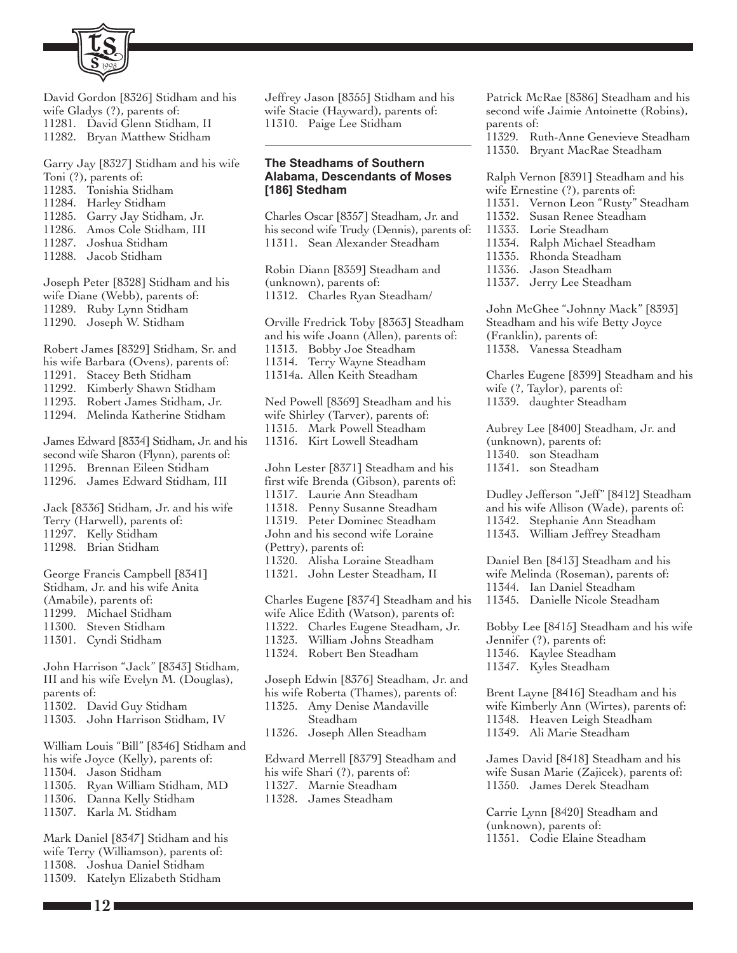

David Gordon [8326] Stidham and his

- wife Gladys (?), parents of: 11281. David Glenn Stidham, II
- 11282. Bryan Matthew Stidham

Garry Jay [8327] Stidham and his wife Toni (?), parents of:

- 11283. Tonishia Stidham
- 11284. Harley Stidham
- 11285. Garry Jay Stidham, Jr.
- 11286. Amos Cole Stidham, III<br>11287. Joshua Stidham
- Joshua Stidham
- 11288. Jacob Stidham

Joseph Peter [8328] Stidham and his wife Diane (Webb), parents of: 11289. Ruby Lynn Stidham 11290. Joseph W. Stidham

Robert James [8329] Stidham, Sr. and his wife Barbara (Ovens), parents of:

- 11291. Stacey Beth Stidham
- 11292. Kimberly Shawn Stidham
- 11293. Robert James Stidham, Jr.
- 11294. Melinda Katherine Stidham

James Edward [8334] Stidham, Jr. and his second wife Sharon (Flynn), parents of: 11295. Brennan Eileen Stidham 11296. James Edward Stidham, III

Jack [8336] Stidham, Jr. and his wife Terry (Harwell), parents of: 11297. Kelly Stidham 11298. Brian Stidham

George Francis Campbell [8341] Stidham, Jr. and his wife Anita (Amabile), parents of: 11299. Michael Stidham 11300. Steven Stidham 11301. Cyndi Stidham

John Harrison "Jack" [8343] Stidham, III and his wife Evelyn M. (Douglas), parents of: 11302. David Guy Stidham

11303. John Harrison Stidham, IV

William Louis "Bill" [8346] Stidham and his wife Joyce (Kelly), parents of: 11304. Jason Stidham 11305. Ryan William Stidham, MD 11306. Danna Kelly Stidham 11307. Karla M. Stidham

Mark Daniel [8347] Stidham and his wife Terry (Williamson), parents of: 11308. Joshua Daniel Stidham 11309. Katelyn Elizabeth Stidham

Jeffrey Jason [8355] Stidham and his wife Stacie (Hayward), parents of: 11310. Paige Lee Stidham

## **The Steadhams of Southern Alabama, Descendants of Moses [186] Stedham**

Charles Oscar [8357] Steadham, Jr. and his second wife Trudy (Dennis), parents of: 11311. Sean Alexander Steadham

Robin Diann [8359] Steadham and (unknown), parents of: 11312. Charles Ryan Steadham/

Orville Fredrick Toby [8363] Steadham and his wife Joann (Allen), parents of: 11313. Bobby Joe Steadham 11314. Terry Wayne Steadham 11314a. Allen Keith Steadham

Ned Powell [8369] Steadham and his wife Shirley (Tarver), parents of: 11315. Mark Powell Steadham 11316. Kirt Lowell Steadham

John Lester [8371] Steadham and his first wife Brenda (Gibson), parents of: 11317. Laurie Ann Steadham 11318. Penny Susanne Steadham 11319. Peter Dominec Steadham John and his second wife Loraine (Pettry), parents of: 11320. Alisha Loraine Steadham 11321. John Lester Steadham, II Charles Eugene [8374] Steadham and his wife Alice Edith (Watson), parents of: 11322. Charles Eugene Steadham, Jr. 11323. William Johns Steadham 11324. Robert Ben Steadham Joseph Edwin [8376] Steadham, Jr. and his wife Roberta (Thames), parents of: 11325. Amy Denise Mandaville Steadham 11326. Joseph Allen Steadham

Edward Merrell [8379] Steadham and his wife Shari (?), parents of: 11327. Marnie Steadham 11328. James Steadham

Patrick McRae [8386] Steadham and his second wife Jaimie Antoinette (Robins), parents of:

11329. Ruth-Anne Genevieve Steadham 11330. Bryant MacRae Steadham

Ralph Vernon [8391] Steadham and his wife Ernestine (?), parents of:

- 11331. Vernon Leon "Rusty" Steadham
- 11332. Susan Renee Steadham
- 11333. Lorie Steadham
- 11334. Ralph Michael Steadham
- 11335. Rhonda Steadham
- 11336. Jason Steadham
- 11337. Jerry Lee Steadham

John McGhee "Johnny Mack" [8393] Steadham and his wife Betty Joyce (Franklin), parents of: 11338. Vanessa Steadham

Charles Eugene [8399] Steadham and his wife (?, Taylor), parents of: 11339. daughter Steadham

Aubrey Lee [8400] Steadham, Jr. and (unknown), parents of: 11340. son Steadham 11341. son Steadham

Dudley Jefferson "Jeff" [8412] Steadham and his wife Allison (Wade), parents of: 11342. Stephanie Ann Steadham 11343. William Jeffrey Steadham

Daniel Ben [8413] Steadham and his wife Melinda (Roseman), parents of: 11344. Ian Daniel Steadham 11345. Danielle Nicole Steadham

Bobby Lee [8415] Steadham and his wife Jennifer (?), parents of: 11346. Kaylee Steadham 11347. Kyles Steadham

Brent Layne [8416] Steadham and his wife Kimberly Ann (Wirtes), parents of: 11348. Heaven Leigh Steadham 11349. Ali Marie Steadham

James David [8418] Steadham and his wife Susan Marie (Zajicek), parents of: 11350. James Derek Steadham

Carrie Lynn [8420] Steadham and (unknown), parents of: 11351. Codie Elaine Steadham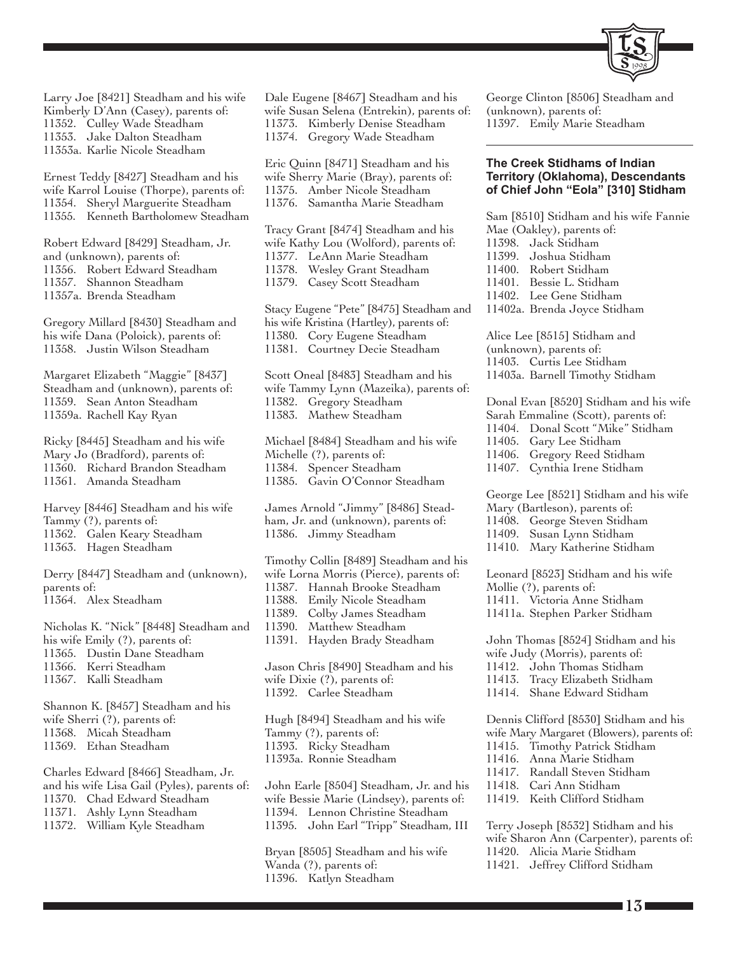

Larry Joe [8421] Steadham and his wife Kimberly D'Ann (Casey), parents of: 11352. Culley Wade Steadham 11353. Jake Dalton Steadham 11353a. Karlie Nicole Steadham

Ernest Teddy [8427] Steadham and his wife Karrol Louise (Thorpe), parents of: 11354. Sheryl Marguerite Steadham 11355. Kenneth Bartholomew Steadham

Robert Edward [8429] Steadham, Jr. and (unknown), parents of: 11356. Robert Edward Steadham 11357. Shannon Steadham 11357a. Brenda Steadham

Gregory Millard [8430] Steadham and his wife Dana (Poloick), parents of: 11358. Justin Wilson Steadham

Margaret Elizabeth "Maggie" [8437] Steadham and (unknown), parents of: 11359. Sean Anton Steadham 11359a. Rachell Kay Ryan

Ricky [8445] Steadham and his wife Mary Jo (Bradford), parents of: 11360. Richard Brandon Steadham 11361. Amanda Steadham

Harvey [8446] Steadham and his wife Tammy (?), parents of: 11362. Galen Keary Steadham 11363. Hagen Steadham

Derry [8447] Steadham and (unknown), parents of: 11364. Alex Steadham

Nicholas K. "Nick" [8448] Steadham and his wife Emily (?), parents of: 11365. Dustin Dane Steadham 11366. Kerri Steadham 11367. Kalli Steadham

Shannon K. [8457] Steadham and his wife Sherri (?), parents of: 11368. Micah Steadham 11369. Ethan Steadham

Charles Edward [8466] Steadham, Jr. and his wife Lisa Gail (Pyles), parents of: 11370. Chad Edward Steadham 11371. Ashly Lynn Steadham 11372. William Kyle Steadham

Dale Eugene [8467] Steadham and his wife Susan Selena (Entrekin), parents of: 11373. Kimberly Denise Steadham 11374. Gregory Wade Steadham

Eric Quinn [8471] Steadham and his wife Sherry Marie (Bray), parents of: 11375. Amber Nicole Steadham 11376. Samantha Marie Steadham

Tracy Grant [8474] Steadham and his wife Kathy Lou (Wolford), parents of: 11377. LeAnn Marie Steadham 11378. Wesley Grant Steadham 11379. Casey Scott Steadham

Stacy Eugene "Pete" [8475] Steadham and his wife Kristina (Hartley), parents of: 11380. Cory Eugene Steadham 11381. Courtney Decie Steadham

Scott Oneal [8483] Steadham and his wife Tammy Lynn (Mazeika), parents of: 11382. Gregory Steadham 11383. Mathew Steadham

Michael [8484] Steadham and his wife Michelle (?), parents of: 11384. Spencer Steadham 11385. Gavin O'Connor Steadham

James Arnold "Jimmy" [8486] Steadham, Jr. and (unknown), parents of: 11386. Jimmy Steadham

Timothy Collin [8489] Steadham and his wife Lorna Morris (Pierce), parents of: 11387. Hannah Brooke Steadham 11388. Emily Nicole Steadham 11389. Colby James Steadham 11390. Matthew Steadham 11391. Hayden Brady Steadham Jason Chris [8490] Steadham and his wife Dixie (?), parents of: 11392. Carlee Steadham

Hugh [8494] Steadham and his wife Tammy (?), parents of: 11393. Ricky Steadham 11393a. Ronnie Steadham

John Earle [8504] Steadham, Jr. and his wife Bessie Marie (Lindsey), parents of: 11394. Lennon Christine Steadham 11395. John Earl "Tripp" Steadham, III

Bryan [8505] Steadham and his wife Wanda (?), parents of: 11396. Katlyn Steadham

George Clinton [8506] Steadham and (unknown), parents of: 11397. Emily Marie Steadham

#### **The Creek Stidhams of Indian Territory (Oklahoma), Descendants of Chief John "Eola" [310] Stidham**

Sam [8510] Stidham and his wife Fannie Mae (Oakley), parents of: 11398. Jack Stidham 11399. Joshua Stidham 11400. Robert Stidham 11401. Bessie L. Stidham 11402. Lee Gene Stidham 11402a. Brenda Joyce Stidham Alice Lee [8515] Stidham and (unknown), parents of: 11403. Curtis Lee Stidham 11403a. Barnell Timothy Stidham Donal Evan [8520] Stidham and his wife Sarah Emmaline (Scott), parents of: 11404. Donal Scott "Mike" Stidham 11405. Gary Lee Stidham 11406. Gregory Reed Stidham 11407. Cynthia Irene Stidham George Lee [8521] Stidham and his wife Mary (Bartleson), parents of: 11408. George Steven Stidham 11409. Susan Lynn Stidham 11410. Mary Katherine Stidham Leonard [8523] Stidham and his wife Mollie (?), parents of: 11411. Victoria Anne Stidham 11411a. Stephen Parker Stidham John Thomas [8524] Stidham and his wife Judy (Morris), parents of: 11412. John Thomas Stidham

- 11413. Tracy Elizabeth Stidham
- 11414. Shane Edward Stidham

Dennis Clifford [8530] Stidham and his wife Mary Margaret (Blowers), parents of: 11415. Timothy Patrick Stidham

- 11416. Anna Marie Stidham
- 11417. Randall Steven Stidham
- 11418. Cari Ann Stidham
- 11419. Keith Clifford Stidham

Terry Joseph [8532] Stidham and his wife Sharon Ann (Carpenter), parents of: 11420. Alicia Marie Stidham 11421. Jeffrey Clifford Stidham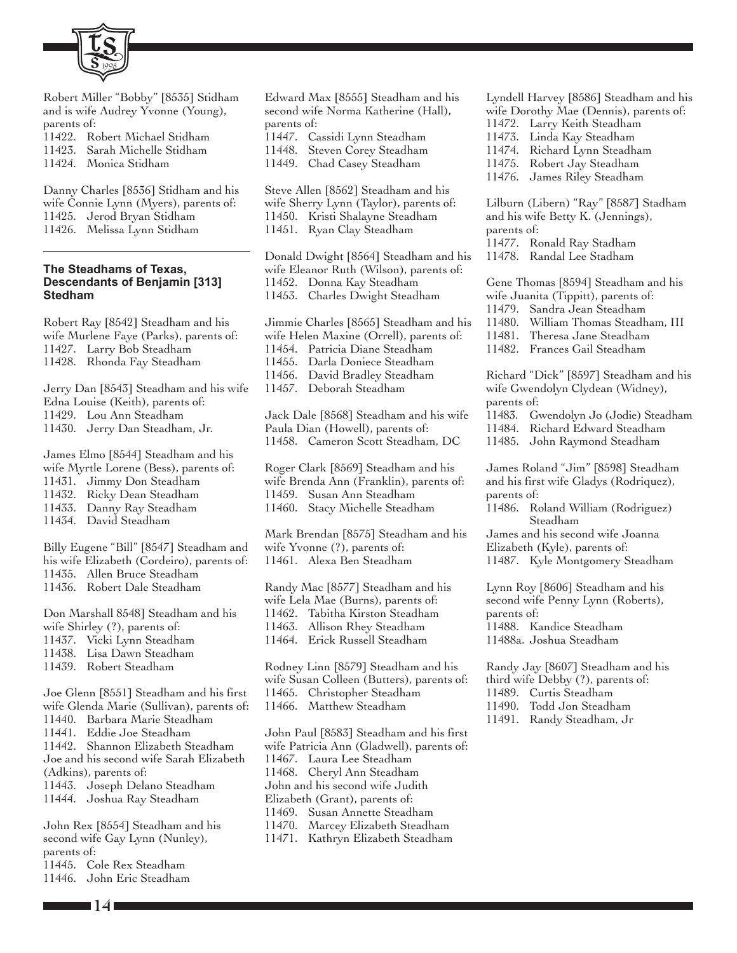

Robert Miller "Bobby" [8535] Stidham and is wife Audrey Yvonne (Young), parents of:

11422. Robert Michael Stidham 11423. Sarah Michelle Stidham

11424. Monica Stidham

Danny Charles [8536] Stidham and his wife Connie Lynn (Myers), parents of: 11425. Jerod Bryan Stidham 11426. Melissa Lynn Stidham

#### **The Steadhams of Texas, Descendants of Benjamin [313] Stedham**

Robert Ray [8542] Steadham and his wife Murlene Faye (Parks), parents of: 11427. Larry Bob Steadham 11428. Rhonda Fay Steadham

Jerry Dan [8543] Steadham and his wife Edna Louise (Keith), parents of: 11429. Lou Ann Steadham 11430. Jerry Dan Steadham, Jr.

James Elmo [8544] Steadham and his

wife Myrtle Lorene (Bess), parents of:

- 11431. Jimmy Don Steadham
- 11432. Ricky Dean Steadham

11433. Danny Ray Steadham

11434. David Steadham

Billy Eugene "Bill" [8547] Steadham and his wife Elizabeth (Cordeiro), parents of: 11435. Allen Bruce Steadham 11436. Robert Dale Steadham

Don Marshall 8548] Steadham and his wife Shirley (?), parents of: 11437. Vicki Lynn Steadham 11438. Lisa Dawn Steadham 11439. Robert Steadham

Joe Glenn [8551] Steadham and his first wife Glenda Marie (Sullivan), parents of: 11440. Barbara Marie Steadham 11441. Eddie Joe Steadham 11442. Shannon Elizabeth Steadham Joe and his second wife Sarah Elizabeth (Adkins), parents of: 11443. Joseph Delano Steadham 11444. Joshua Ray Steadham

John Rex [8554] Steadham and his second wife Gay Lynn (Nunley), parents of: 11445. Cole Rex Steadham 11446. John Eric Steadham

**14**

Edward Max [8555] Steadham and his second wife Norma Katherine (Hall), parents of: 11447. Cassidi Lynn Steadham

11448. Steven Corey Steadham

11449. Chad Casey Steadham

Steve Allen [8562] Steadham and his wife Sherry Lynn (Taylor), parents of: 11450. Kristi Shalayne Steadham 11451. Ryan Clay Steadham

Donald Dwight [8564] Steadham and his wife Eleanor Ruth (Wilson), parents of: 11452. Donna Kay Steadham 11453. Charles Dwight Steadham

Jimmie Charles [8565] Steadham and his wife Helen Maxine (Orrell), parents of: 11454. Patricia Diane Steadham 11455. Darla Doniece Steadham 11456. David Bradley Steadham 11457. Deborah Steadham Jack Dale [8568] Steadham and his wife Paula Dian (Howell), parents of:

11458. Cameron Scott Steadham, DC

Roger Clark [8569] Steadham and his wife Brenda Ann (Franklin), parents of: 11459. Susan Ann Steadham 11460. Stacy Michelle Steadham

Mark Brendan [8575] Steadham and his wife Yvonne (?), parents of: 11461. Alexa Ben Steadham

Randy Mac [8577] Steadham and his wife Lela Mae (Burns), parents of: 11462. Tabitha Kirston Steadham 11463. Allison Rhey Steadham 11464. Erick Russell Steadham

Rodney Linn [8579] Steadham and his wife Susan Colleen (Butters), parents of: 11465. Christopher Steadham 11466. Matthew Steadham

John Paul [8583] Steadham and his first wife Patricia Ann (Gladwell), parents of: 11467. Laura Lee Steadham 11468. Cheryl Ann Steadham John and his second wife Judith Elizabeth (Grant), parents of: 11469. Susan Annette Steadham 11470. Marcey Elizabeth Steadham 11471. Kathryn Elizabeth Steadham

Lyndell Harvey [8586] Steadham and his wife Dorothy Mae (Dennis), parents of:

- 11472. Larry Keith Steadham
- 11473. Linda Kay Steadham
- 11474. Richard Lynn Steadham
- 11475. Robert Jay Steadham 11476. James Riley Steadham

Lilburn (Libern) "Ray" [8587] Stadham and his wife Betty K. (Jennings), parents of: 11477. Ronald Ray Stadham 11478. Randal Lee Stadham

Gene Thomas [8594] Steadham and his wife Juanita (Tippitt), parents of: 11479. Sandra Jean Steadham 11480. William Thomas Steadham, III 11481. Theresa Jane Steadham

- 
- 11482. Frances Gail Steadham

Richard "Dick" [8597] Steadham and his wife Gwendolyn Clydean (Widney), parents of:

- 11483. Gwendolyn Jo (Jodie) Steadham
- 11484. Richard Edward Steadham
- 11485. John Raymond Steadham

James Roland "Jim" [8598] Steadham and his first wife Gladys (Rodriquez), parents of:

11486. Roland William (Rodriguez) Steadham

James and his second wife Joanna Elizabeth (Kyle), parents of: 11487. Kyle Montgomery Steadham

Lynn Roy [8606] Steadham and his second wife Penny Lynn (Roberts), parents of: 11488. Kandice Steadham 11488a. Joshua Steadham

Randy Jay [8607] Steadham and his third wife Debby (?), parents of: 11489. Curtis Steadham 11490. Todd Jon Steadham

11491. Randy Steadham, Jr